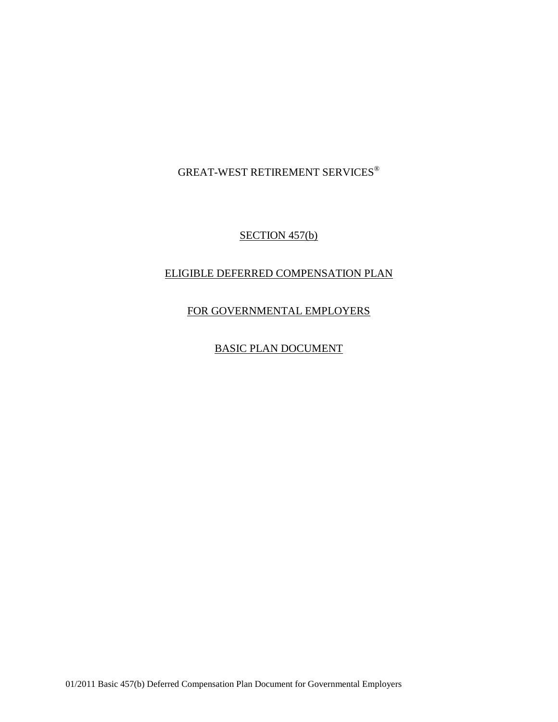GREAT-WEST RETIREMENT SERVICES®

SECTION 457(b)

# ELIGIBLE DEFERRED COMPENSATION PLAN

# FOR GOVERNMENTAL EMPLOYERS

BASIC PLAN DOCUMENT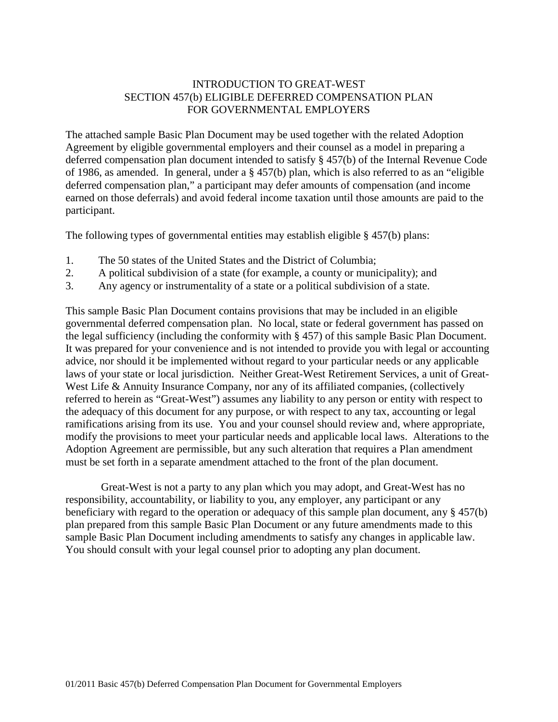## INTRODUCTION TO GREAT-WEST SECTION 457(b) ELIGIBLE DEFERRED COMPENSATION PLAN FOR GOVERNMENTAL EMPLOYERS

The attached sample Basic Plan Document may be used together with the related Adoption Agreement by eligible governmental employers and their counsel as a model in preparing a deferred compensation plan document intended to satisfy § 457(b) of the Internal Revenue Code of 1986, as amended. In general, under a § 457(b) plan, which is also referred to as an "eligible deferred compensation plan," a participant may defer amounts of compensation (and income earned on those deferrals) and avoid federal income taxation until those amounts are paid to the participant.

The following types of governmental entities may establish eligible § 457(b) plans:

- 1. The 50 states of the United States and the District of Columbia;
- 2. A political subdivision of a state (for example, a county or municipality); and
- 3. Any agency or instrumentality of a state or a political subdivision of a state.

This sample Basic Plan Document contains provisions that may be included in an eligible governmental deferred compensation plan. No local, state or federal government has passed on the legal sufficiency (including the conformity with § 457) of this sample Basic Plan Document. It was prepared for your convenience and is not intended to provide you with legal or accounting advice, nor should it be implemented without regard to your particular needs or any applicable laws of your state or local jurisdiction. Neither Great-West Retirement Services, a unit of Great-West Life & Annuity Insurance Company, nor any of its affiliated companies, (collectively referred to herein as "Great-West") assumes any liability to any person or entity with respect to the adequacy of this document for any purpose, or with respect to any tax, accounting or legal ramifications arising from its use. You and your counsel should review and, where appropriate, modify the provisions to meet your particular needs and applicable local laws. Alterations to the Adoption Agreement are permissible, but any such alteration that requires a Plan amendment must be set forth in a separate amendment attached to the front of the plan document.

Great-West is not a party to any plan which you may adopt, and Great-West has no responsibility, accountability, or liability to you, any employer, any participant or any beneficiary with regard to the operation or adequacy of this sample plan document, any § 457(b) plan prepared from this sample Basic Plan Document or any future amendments made to this sample Basic Plan Document including amendments to satisfy any changes in applicable law. You should consult with your legal counsel prior to adopting any plan document.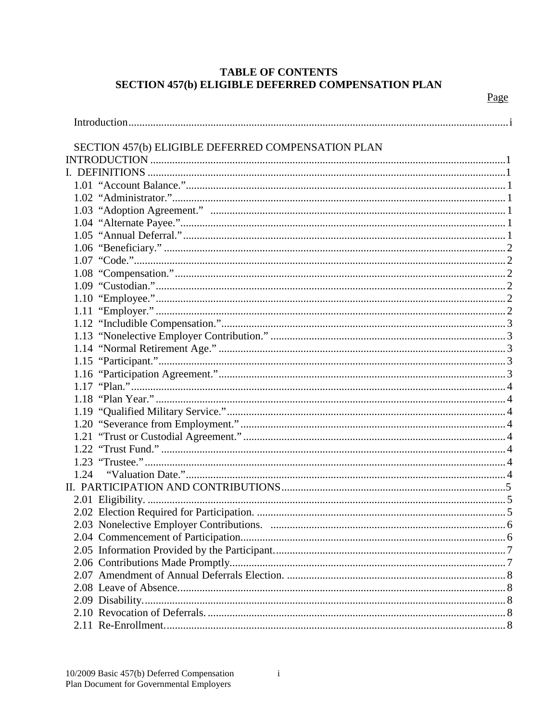# **TABLE OF CONTENTS SECTION 457(b) ELIGIBLE DEFERRED COMPENSATION PLAN**

Page

| SECTION 457(b) ELIGIBLE DEFERRED COMPENSATION PLAN |  |
|----------------------------------------------------|--|
|                                                    |  |
|                                                    |  |
|                                                    |  |
|                                                    |  |
|                                                    |  |
|                                                    |  |
|                                                    |  |
|                                                    |  |
|                                                    |  |
|                                                    |  |
|                                                    |  |
|                                                    |  |
|                                                    |  |
|                                                    |  |
|                                                    |  |
|                                                    |  |
|                                                    |  |
|                                                    |  |
|                                                    |  |
|                                                    |  |
|                                                    |  |
|                                                    |  |
|                                                    |  |
|                                                    |  |
|                                                    |  |
|                                                    |  |
|                                                    |  |
|                                                    |  |
|                                                    |  |
|                                                    |  |
|                                                    |  |
|                                                    |  |
|                                                    |  |
|                                                    |  |
|                                                    |  |
|                                                    |  |
|                                                    |  |
|                                                    |  |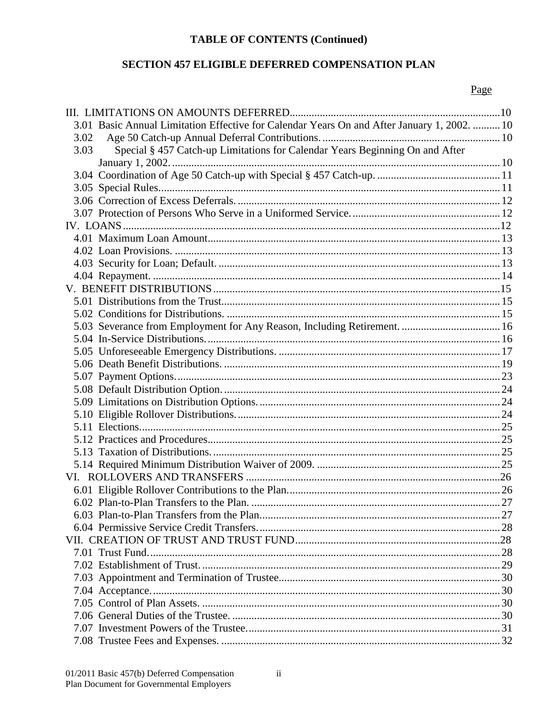# **TABLE OF CONTENTS (Continued)**

# SECTION 457 ELIGIBLE DEFERRED COMPENSATION PLAN

# Page

|      | 3.01 Basic Annual Limitation Effective for Calendar Years On and After January 1, 2002.  10 |  |
|------|---------------------------------------------------------------------------------------------|--|
| 3.02 |                                                                                             |  |
| 3.03 | Special § 457 Catch-up Limitations for Calendar Years Beginning On and After                |  |
|      |                                                                                             |  |
|      |                                                                                             |  |
|      |                                                                                             |  |
|      |                                                                                             |  |
|      |                                                                                             |  |
|      |                                                                                             |  |
|      |                                                                                             |  |
|      |                                                                                             |  |
|      |                                                                                             |  |
|      |                                                                                             |  |
|      |                                                                                             |  |
|      |                                                                                             |  |
|      |                                                                                             |  |
|      |                                                                                             |  |
|      |                                                                                             |  |
|      |                                                                                             |  |
|      |                                                                                             |  |
|      |                                                                                             |  |
|      |                                                                                             |  |
|      |                                                                                             |  |
|      |                                                                                             |  |
|      |                                                                                             |  |
|      |                                                                                             |  |
|      |                                                                                             |  |
|      |                                                                                             |  |
|      |                                                                                             |  |
|      |                                                                                             |  |
|      |                                                                                             |  |
|      |                                                                                             |  |
|      |                                                                                             |  |
|      |                                                                                             |  |
|      |                                                                                             |  |
|      |                                                                                             |  |
|      |                                                                                             |  |
|      |                                                                                             |  |
|      |                                                                                             |  |
|      |                                                                                             |  |
|      |                                                                                             |  |
|      |                                                                                             |  |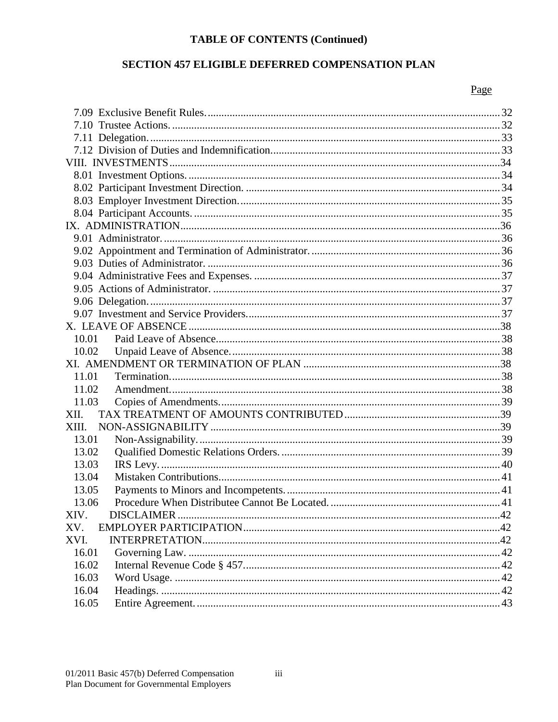# **TABLE OF CONTENTS (Continued)**

# SECTION 457 ELIGIBLE DEFERRED COMPENSATION PLAN

# Page

| 10.02 |  |
|-------|--|
|       |  |
| 11.01 |  |
| 11.02 |  |
| 11.03 |  |
| XII.  |  |
| XIII. |  |
| 13.01 |  |
| 13.02 |  |
| 13.03 |  |
| 13.04 |  |
| 13.05 |  |
| 13.06 |  |
| XIV.  |  |
| XV.   |  |
| XVI.  |  |
| 16.01 |  |
| 16.02 |  |
| 16.03 |  |
| 16.04 |  |
| 16.05 |  |
|       |  |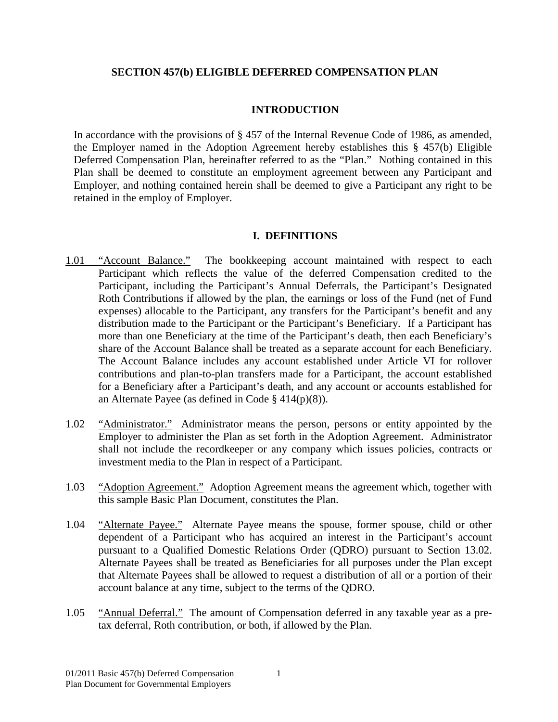## **SECTION 457(b) ELIGIBLE DEFERRED COMPENSATION PLAN**

## **INTRODUCTION**

<span id="page-5-0"></span>In accordance with the provisions of § 457 of the Internal Revenue Code of 1986, as amended, the Employer named in the Adoption Agreement hereby establishes this § 457(b) Eligible Deferred Compensation Plan, hereinafter referred to as the "Plan." Nothing contained in this Plan shall be deemed to constitute an employment agreement between any Participant and Employer, and nothing contained herein shall be deemed to give a Participant any right to be retained in the employ of Employer.

## **I. DEFINITIONS**

- <span id="page-5-2"></span><span id="page-5-1"></span>1.01 "Account Balance." The bookkeeping account maintained with respect to each Participant which reflects the value of the deferred Compensation credited to the Participant, including the Participant's Annual Deferrals, the Participant's Designated Roth Contributions if allowed by the plan, the earnings or loss of the Fund (net of Fund expenses) allocable to the Participant, any transfers for the Participant's benefit and any distribution made to the Participant or the Participant's Beneficiary. If a Participant has more than one Beneficiary at the time of the Participant's death, then each Beneficiary's share of the Account Balance shall be treated as a separate account for each Beneficiary. The Account Balance includes any account established under Article VI for rollover contributions and plan-to-plan transfers made for a Participant, the account established for a Beneficiary after a Participant's death, and any account or accounts established for an Alternate Payee (as defined in Code § 414(p)(8)).
- <span id="page-5-3"></span>1.02 "Administrator." Administrator means the person, persons or entity appointed by the Employer to administer the Plan as set forth in the Adoption Agreement. Administrator shall not include the recordkeeper or any company which issues policies, contracts or investment media to the Plan in respect of a Participant.
- <span id="page-5-4"></span>1.03 "Adoption Agreement." Adoption Agreement means the agreement which, together with this sample Basic Plan Document, constitutes the Plan.
- <span id="page-5-5"></span>1.04 "Alternate Payee." Alternate Payee means the spouse, former spouse, child or other dependent of a Participant who has acquired an interest in the Participant's account pursuant to a Qualified Domestic Relations Order (QDRO) pursuant to Section 13.02. Alternate Payees shall be treated as Beneficiaries for all purposes under the Plan except that Alternate Payees shall be allowed to request a distribution of all or a portion of their account balance at any time, subject to the terms of the QDRO.
- <span id="page-5-6"></span>1.05 "Annual Deferral." The amount of Compensation deferred in any taxable year as a pretax deferral, Roth contribution, or both, if allowed by the Plan.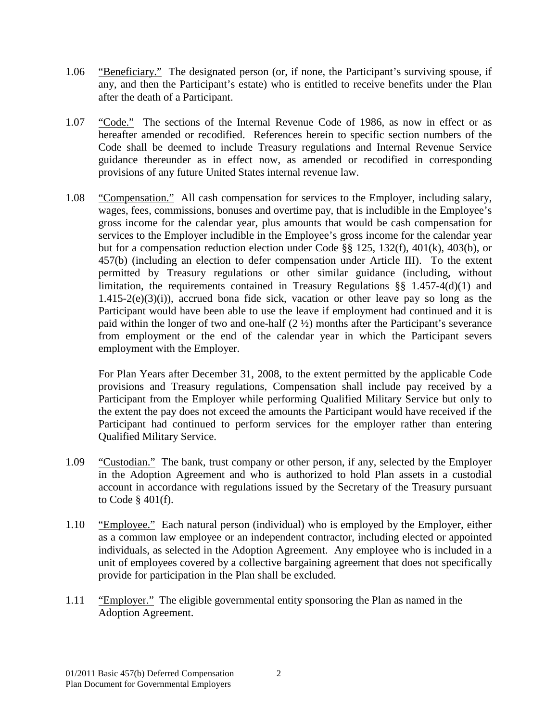- <span id="page-6-0"></span>1.06 "Beneficiary." The designated person (or, if none, the Participant's surviving spouse, if any, and then the Participant's estate) who is entitled to receive benefits under the Plan after the death of a Participant.
- <span id="page-6-1"></span>1.07 "Code." The sections of the Internal Revenue Code of 1986, as now in effect or as hereafter amended or recodified. References herein to specific section numbers of the Code shall be deemed to include Treasury regulations and Internal Revenue Service guidance thereunder as in effect now, as amended or recodified in corresponding provisions of any future United States internal revenue law.
- <span id="page-6-2"></span>1.08 "Compensation." All cash compensation for services to the Employer, including salary, wages, fees, commissions, bonuses and overtime pay, that is includible in the Employee's gross income for the calendar year, plus amounts that would be cash compensation for services to the Employer includible in the Employee's gross income for the calendar year but for a compensation reduction election under Code §§ 125, 132(f), 401(k), 403(b), or 457(b) (including an election to defer compensation under Article III). To the extent permitted by Treasury regulations or other similar guidance (including, without limitation, the requirements contained in Treasury Regulations §§ 1.457-4(d)(1) and  $1.415-2(e)(3)(i)$ , accrued bona fide sick, vacation or other leave pay so long as the Participant would have been able to use the leave if employment had continued and it is paid within the longer of two and one-half (2 ½) months after the Participant's severance from employment or the end of the calendar year in which the Participant severs employment with the Employer.

For Plan Years after December 31, 2008, to the extent permitted by the applicable Code provisions and Treasury regulations, Compensation shall include pay received by a Participant from the Employer while performing Qualified Military Service but only to the extent the pay does not exceed the amounts the Participant would have received if the Participant had continued to perform services for the employer rather than entering Qualified Military Service.

- <span id="page-6-3"></span>1.09 "Custodian." The bank, trust company or other person, if any, selected by the Employer in the Adoption Agreement and who is authorized to hold Plan assets in a custodial account in accordance with regulations issued by the Secretary of the Treasury pursuant to Code § 401(f).
- <span id="page-6-4"></span>1.10 "Employee." Each natural person (individual) who is employed by the Employer, either as a common law employee or an independent contractor, including elected or appointed individuals, as selected in the Adoption Agreement. Any employee who is included in a unit of employees covered by a collective bargaining agreement that does not specifically provide for participation in the Plan shall be excluded.
- <span id="page-6-5"></span>1.11 "Employer." The eligible governmental entity sponsoring the Plan as named in the Adoption Agreement.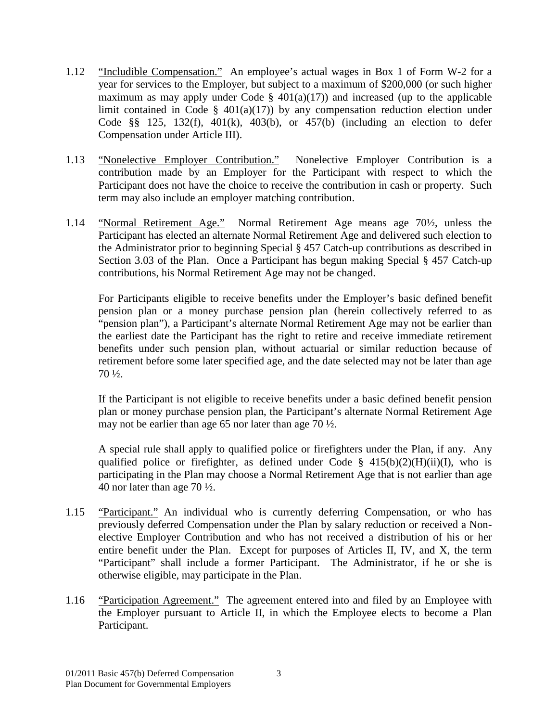- <span id="page-7-0"></span>1.12 "Includible Compensation." An employee's actual wages in Box 1 of Form W-2 for a year for services to the Employer, but subject to a maximum of \$200,000 (or such higher maximum as may apply under Code  $\S$  401(a)(17)) and increased (up to the applicable limit contained in Code  $\S$  401(a)(17)) by any compensation reduction election under Code §§ 125, 132(f), 401(k), 403(b), or 457(b) (including an election to defer Compensation under Article III).
- <span id="page-7-1"></span>1.13 "Nonelective Employer Contribution." Nonelective Employer Contribution is a contribution made by an Employer for the Participant with respect to which the Participant does not have the choice to receive the contribution in cash or property. Such term may also include an employer matching contribution.
- <span id="page-7-2"></span>1.14 "Normal Retirement Age." Normal Retirement Age means age 70½, unless the Participant has elected an alternate Normal Retirement Age and delivered such election to the Administrator prior to beginning Special § 457 Catch-up contributions as described in Section 3.03 of the Plan. Once a Participant has begun making Special § 457 Catch-up contributions, his Normal Retirement Age may not be changed.

For Participants eligible to receive benefits under the Employer's basic defined benefit pension plan or a money purchase pension plan (herein collectively referred to as "pension plan"), a Participant's alternate Normal Retirement Age may not be earlier than the earliest date the Participant has the right to retire and receive immediate retirement benefits under such pension plan, without actuarial or similar reduction because of retirement before some later specified age, and the date selected may not be later than age 70 ½.

If the Participant is not eligible to receive benefits under a basic defined benefit pension plan or money purchase pension plan, the Participant's alternate Normal Retirement Age may not be earlier than age 65 nor later than age 70 ½.

A special rule shall apply to qualified police or firefighters under the Plan, if any. Any qualified police or firefighter, as defined under Code §  $415(b)(2)(H)(ii)(I)$ , who is participating in the Plan may choose a Normal Retirement Age that is not earlier than age 40 nor later than age 70 ½.

- <span id="page-7-3"></span>1.15 "Participant." An individual who is currently deferring Compensation, or who has previously deferred Compensation under the Plan by salary reduction or received a Nonelective Employer Contribution and who has not received a distribution of his or her entire benefit under the Plan. Except for purposes of Articles II, IV, and X, the term "Participant" shall include a former Participant. The Administrator, if he or she is otherwise eligible, may participate in the Plan.
- <span id="page-7-4"></span>1.16 "Participation Agreement." The agreement entered into and filed by an Employee with the Employer pursuant to Article II, in which the Employee elects to become a Plan Participant.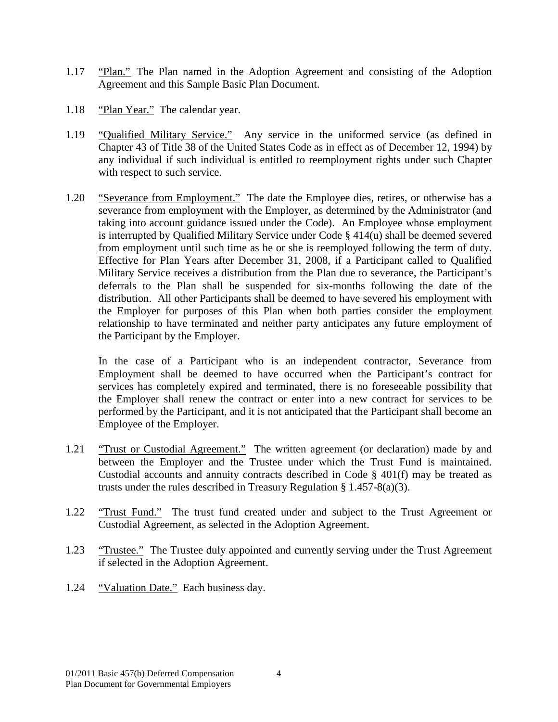- <span id="page-8-0"></span>1.17 "Plan." The Plan named in the Adoption Agreement and consisting of the Adoption Agreement and this Sample Basic Plan Document.
- <span id="page-8-1"></span>1.18 "Plan Year." The calendar year.
- <span id="page-8-2"></span>1.19 "Qualified Military Service." Any service in the uniformed service (as defined in Chapter 43 of Title 38 of the United States Code as in effect as of December 12, 1994) by any individual if such individual is entitled to reemployment rights under such Chapter with respect to such service.
- <span id="page-8-3"></span>1.20 "Severance from Employment." The date the Employee dies, retires, or otherwise has a severance from employment with the Employer, as determined by the Administrator (and taking into account guidance issued under the Code). An Employee whose employment is interrupted by Qualified Military Service under Code § 414(u) shall be deemed severed from employment until such time as he or she is reemployed following the term of duty. Effective for Plan Years after December 31, 2008, if a Participant called to Qualified Military Service receives a distribution from the Plan due to severance, the Participant's deferrals to the Plan shall be suspended for six-months following the date of the distribution. All other Participants shall be deemed to have severed his employment with the Employer for purposes of this Plan when both parties consider the employment relationship to have terminated and neither party anticipates any future employment of the Participant by the Employer.

In the case of a Participant who is an independent contractor, Severance from Employment shall be deemed to have occurred when the Participant's contract for services has completely expired and terminated, there is no foreseeable possibility that the Employer shall renew the contract or enter into a new contract for services to be performed by the Participant, and it is not anticipated that the Participant shall become an Employee of the Employer.

- <span id="page-8-4"></span>1.21 "Trust or Custodial Agreement." The written agreement (or declaration) made by and between the Employer and the Trustee under which the Trust Fund is maintained. Custodial accounts and annuity contracts described in Code § 401(f) may be treated as trusts under the rules described in Treasury Regulation § 1.457-8(a)(3).
- <span id="page-8-5"></span>1.22 "Trust Fund." The trust fund created under and subject to the Trust Agreement or Custodial Agreement, as selected in the Adoption Agreement.
- <span id="page-8-6"></span>1.23 "Trustee." The Trustee duly appointed and currently serving under the Trust Agreement if selected in the Adoption Agreement.
- <span id="page-8-7"></span>1.24 "Valuation Date." Each business day.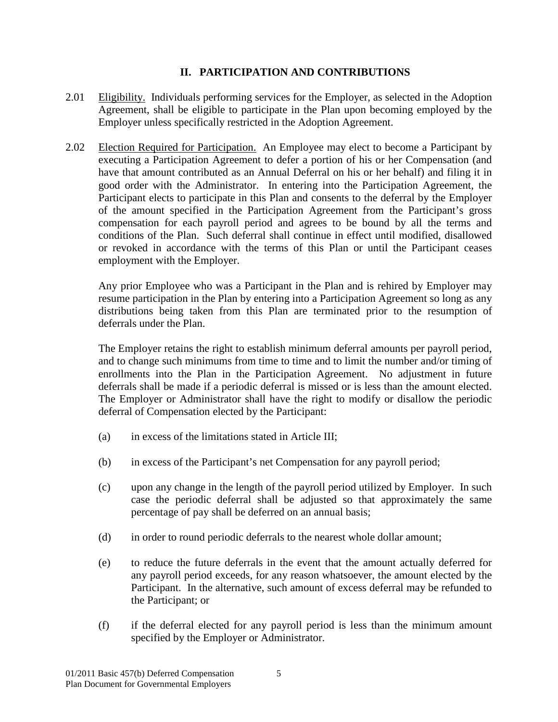## **II. PARTICIPATION AND CONTRIBUTIONS**

- <span id="page-9-1"></span><span id="page-9-0"></span>2.01 Eligibility. Individuals performing services for the Employer, as selected in the Adoption Agreement, shall be eligible to participate in the Plan upon becoming employed by the Employer unless specifically restricted in the Adoption Agreement.
- <span id="page-9-2"></span>2.02 Election Required for Participation. An Employee may elect to become a Participant by executing a Participation Agreement to defer a portion of his or her Compensation (and have that amount contributed as an Annual Deferral on his or her behalf) and filing it in good order with the Administrator. In entering into the Participation Agreement, the Participant elects to participate in this Plan and consents to the deferral by the Employer of the amount specified in the Participation Agreement from the Participant's gross compensation for each payroll period and agrees to be bound by all the terms and conditions of the Plan. Such deferral shall continue in effect until modified, disallowed or revoked in accordance with the terms of this Plan or until the Participant ceases employment with the Employer.

Any prior Employee who was a Participant in the Plan and is rehired by Employer may resume participation in the Plan by entering into a Participation Agreement so long as any distributions being taken from this Plan are terminated prior to the resumption of deferrals under the Plan.

The Employer retains the right to establish minimum deferral amounts per payroll period, and to change such minimums from time to time and to limit the number and/or timing of enrollments into the Plan in the Participation Agreement. No adjustment in future deferrals shall be made if a periodic deferral is missed or is less than the amount elected. The Employer or Administrator shall have the right to modify or disallow the periodic deferral of Compensation elected by the Participant:

- (a) in excess of the limitations stated in Article III;
- (b) in excess of the Participant's net Compensation for any payroll period;
- (c) upon any change in the length of the payroll period utilized by Employer. In such case the periodic deferral shall be adjusted so that approximately the same percentage of pay shall be deferred on an annual basis;
- (d) in order to round periodic deferrals to the nearest whole dollar amount;
- (e) to reduce the future deferrals in the event that the amount actually deferred for any payroll period exceeds, for any reason whatsoever, the amount elected by the Participant. In the alternative, such amount of excess deferral may be refunded to the Participant; or
- (f) if the deferral elected for any payroll period is less than the minimum amount specified by the Employer or Administrator.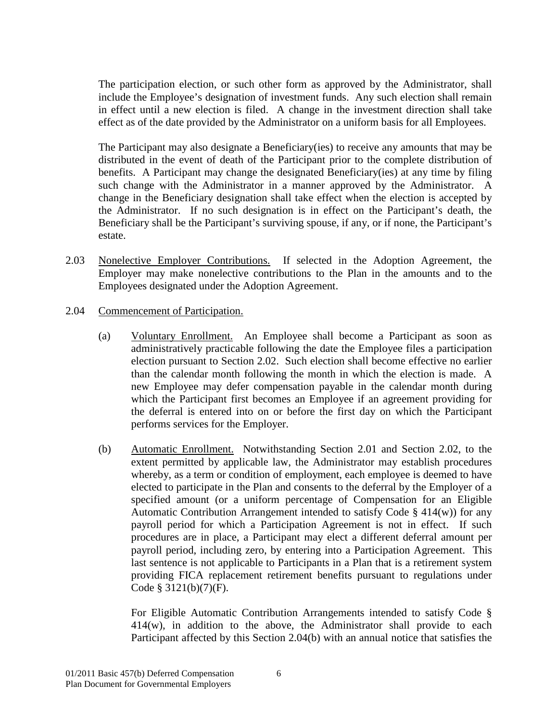The participation election, or such other form as approved by the Administrator, shall include the Employee's designation of investment funds. Any such election shall remain in effect until a new election is filed. A change in the investment direction shall take effect as of the date provided by the Administrator on a uniform basis for all Employees.

The Participant may also designate a Beneficiary(ies) to receive any amounts that may be distributed in the event of death of the Participant prior to the complete distribution of benefits. A Participant may change the designated Beneficiary(ies) at any time by filing such change with the Administrator in a manner approved by the Administrator. A change in the Beneficiary designation shall take effect when the election is accepted by the Administrator. If no such designation is in effect on the Participant's death, the Beneficiary shall be the Participant's surviving spouse, if any, or if none, the Participant's estate.

- <span id="page-10-0"></span>2.03 Nonelective Employer Contributions. If selected in the Adoption Agreement, the Employer may make nonelective contributions to the Plan in the amounts and to the Employees designated under the Adoption Agreement.
- <span id="page-10-1"></span>2.04 Commencement of Participation.
	- (a) Voluntary Enrollment. An Employee shall become a Participant as soon as administratively practicable following the date the Employee files a participation election pursuant to Section 2.02. Such election shall become effective no earlier than the calendar month following the month in which the election is made. A new Employee may defer compensation payable in the calendar month during which the Participant first becomes an Employee if an agreement providing for the deferral is entered into on or before the first day on which the Participant performs services for the Employer.
	- (b) Automatic Enrollment. Notwithstanding Section 2.01 and Section 2.02, to the extent permitted by applicable law, the Administrator may establish procedures whereby, as a term or condition of employment, each employee is deemed to have elected to participate in the Plan and consents to the deferral by the Employer of a specified amount (or a uniform percentage of Compensation for an Eligible Automatic Contribution Arrangement intended to satisfy Code § 414(w)) for any payroll period for which a Participation Agreement is not in effect. If such procedures are in place, a Participant may elect a different deferral amount per payroll period, including zero, by entering into a Participation Agreement. This last sentence is not applicable to Participants in a Plan that is a retirement system providing FICA replacement retirement benefits pursuant to regulations under Code § 3121(b)(7)(F).

For Eligible Automatic Contribution Arrangements intended to satisfy Code § 414(w), in addition to the above, the Administrator shall provide to each Participant affected by this Section 2.04(b) with an annual notice that satisfies the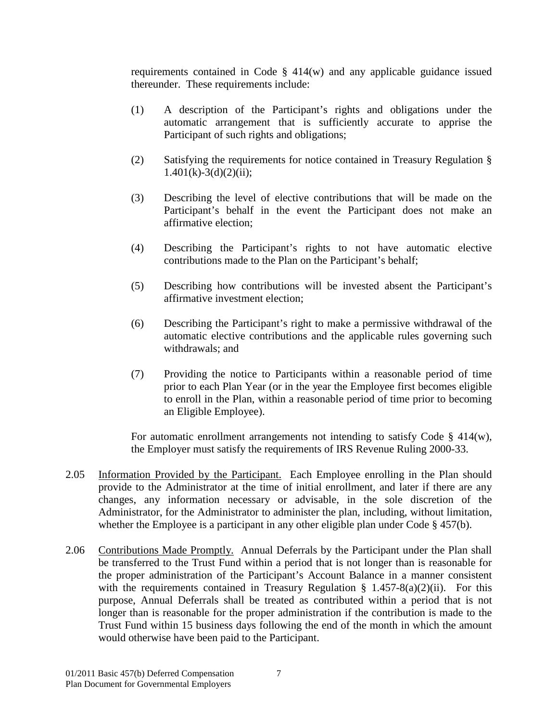requirements contained in Code § 414(w) and any applicable guidance issued thereunder. These requirements include:

- (1) A description of the Participant's rights and obligations under the automatic arrangement that is sufficiently accurate to apprise the Participant of such rights and obligations;
- (2) Satisfying the requirements for notice contained in Treasury Regulation §  $1.401(k)-3(d)(2)(ii);$
- (3) Describing the level of elective contributions that will be made on the Participant's behalf in the event the Participant does not make an affirmative election;
- (4) Describing the Participant's rights to not have automatic elective contributions made to the Plan on the Participant's behalf;
- (5) Describing how contributions will be invested absent the Participant's affirmative investment election;
- (6) Describing the Participant's right to make a permissive withdrawal of the automatic elective contributions and the applicable rules governing such withdrawals; and
- (7) Providing the notice to Participants within a reasonable period of time prior to each Plan Year (or in the year the Employee first becomes eligible to enroll in the Plan, within a reasonable period of time prior to becoming an Eligible Employee).

For automatic enrollment arrangements not intending to satisfy Code  $\S$  414(w), the Employer must satisfy the requirements of IRS Revenue Ruling 2000-33.

- <span id="page-11-0"></span>2.05 Information Provided by the Participant. Each Employee enrolling in the Plan should provide to the Administrator at the time of initial enrollment, and later if there are any changes, any information necessary or advisable, in the sole discretion of the Administrator, for the Administrator to administer the plan, including, without limitation, whether the Employee is a participant in any other eligible plan under Code § 457(b).
- <span id="page-11-1"></span>2.06 Contributions Made Promptly. Annual Deferrals by the Participant under the Plan shall be transferred to the Trust Fund within a period that is not longer than is reasonable for the proper administration of the Participant's Account Balance in a manner consistent with the requirements contained in Treasury Regulation § 1.457-8(a)(2)(ii). For this purpose, Annual Deferrals shall be treated as contributed within a period that is not longer than is reasonable for the proper administration if the contribution is made to the Trust Fund within 15 business days following the end of the month in which the amount would otherwise have been paid to the Participant.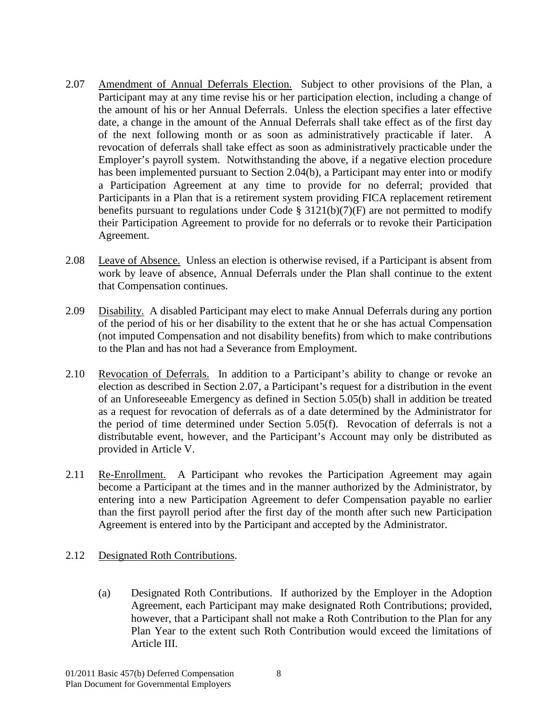- <span id="page-12-0"></span>2.07 Amendment of Annual Deferrals Election. Subject to other provisions of the Plan, a Participant may at any time revise his or her participation election, including a change of the amount of his or her Annual Deferrals. Unless the election specifies a later effective date, a change in the amount of the Annual Deferrals shall take effect as of the first day of the next following month or as soon as administratively practicable if later. A revocation of deferrals shall take effect as soon as administratively practicable under the Employer's payroll system. Notwithstanding the above, if a negative election procedure has been implemented pursuant to Section 2.04(b), a Participant may enter into or modify a Participation Agreement at any time to provide for no deferral; provided that Participants in a Plan that is a retirement system providing FICA replacement retirement benefits pursuant to regulations under Code  $\S$  3121(b)(7)(F) are not permitted to modify their Participation Agreement to provide for no deferrals or to revoke their Participation Agreement.
- <span id="page-12-1"></span>2.08 Leave of Absence. Unless an election is otherwise revised, if a Participant is absent from work by leave of absence, Annual Deferrals under the Plan shall continue to the extent that Compensation continues.
- <span id="page-12-2"></span>2.09 Disability. A disabled Participant may elect to make Annual Deferrals during any portion of the period of his or her disability to the extent that he or she has actual Compensation (not imputed Compensation and not disability benefits) from which to make contributions to the Plan and has not had a Severance from Employment.
- <span id="page-12-3"></span>2.10 Revocation of Deferrals. In addition to a Participant's ability to change or revoke an election as described in Section 2.07, a Participant's request for a distribution in the event of an Unforeseeable Emergency as defined in Section 5.05(b) shall in addition be treated as a request for revocation of deferrals as of a date determined by the Administrator for the period of time determined under Section 5.05(f). Revocation of deferrals is not a distributable event, however, and the Participant's Account may only be distributed as provided in Article V.
- <span id="page-12-4"></span>2.11 Re-Enrollment. A Participant who revokes the Participation Agreement may again become a Participant at the times and in the manner authorized by the Administrator, by entering into a new Participation Agreement to defer Compensation payable no earlier than the first payroll period after the first day of the month after such new Participation Agreement is entered into by the Participant and accepted by the Administrator.
- 2.12 Designated Roth Contributions.
	- (a) Designated Roth Contributions. If authorized by the Employer in the Adoption Agreement, each Participant may make designated Roth Contributions; provided, however, that a Participant shall not make a Roth Contribution to the Plan for any Plan Year to the extent such Roth Contribution would exceed the limitations of Article III.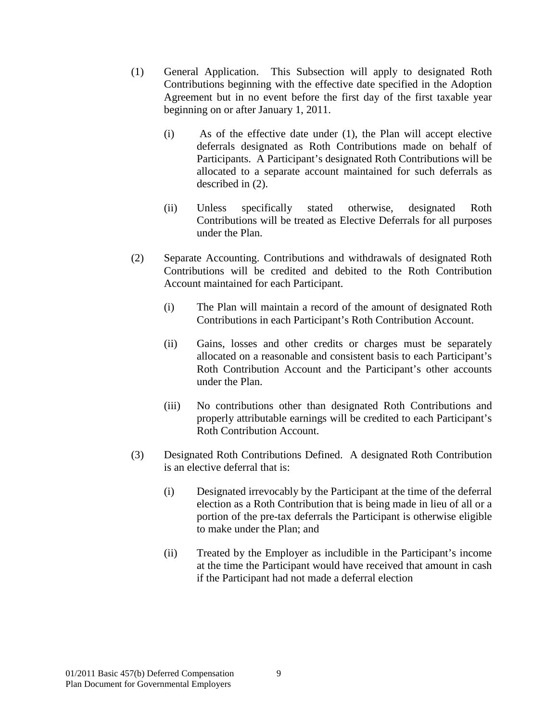- (1) General Application. This Subsection will apply to designated Roth Contributions beginning with the effective date specified in the Adoption Agreement but in no event before the first day of the first taxable year beginning on or after January 1, 2011.
	- (i) As of the effective date under (1), the Plan will accept elective deferrals designated as Roth Contributions made on behalf of Participants. A Participant's designated Roth Contributions will be allocated to a separate account maintained for such deferrals as described in (2).
	- (ii) Unless specifically stated otherwise, designated Roth Contributions will be treated as Elective Deferrals for all purposes under the Plan.
- (2) Separate Accounting. Contributions and withdrawals of designated Roth Contributions will be credited and debited to the Roth Contribution Account maintained for each Participant.
	- (i) The Plan will maintain a record of the amount of designated Roth Contributions in each Participant's Roth Contribution Account.
	- (ii) Gains, losses and other credits or charges must be separately allocated on a reasonable and consistent basis to each Participant's Roth Contribution Account and the Participant's other accounts under the Plan.
	- (iii) No contributions other than designated Roth Contributions and properly attributable earnings will be credited to each Participant's Roth Contribution Account.
- (3) Designated Roth Contributions Defined. A designated Roth Contribution is an elective deferral that is:
	- (i) Designated irrevocably by the Participant at the time of the deferral election as a Roth Contribution that is being made in lieu of all or a portion of the pre-tax deferrals the Participant is otherwise eligible to make under the Plan; and
	- (ii) Treated by the Employer as includible in the Participant's income at the time the Participant would have received that amount in cash if the Participant had not made a deferral election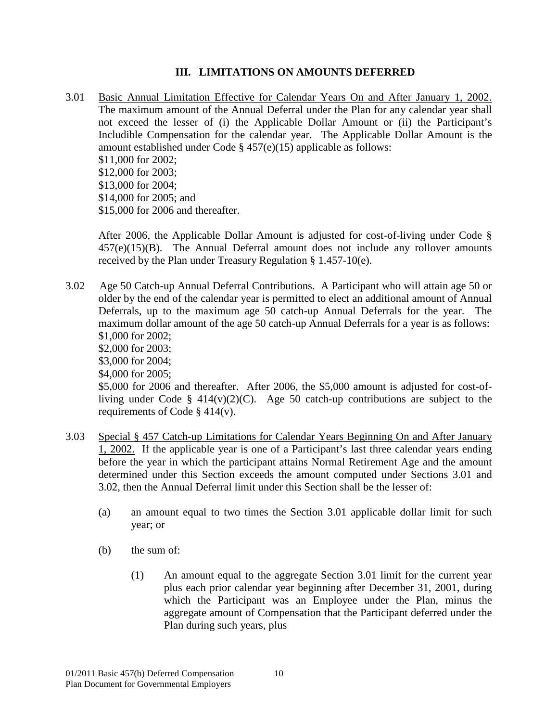## **III. LIMITATIONS ON AMOUNTS DEFERRED**

<span id="page-14-1"></span><span id="page-14-0"></span>3.01 Basic Annual Limitation Effective for Calendar Years On and After January 1, 2002. The maximum amount of the Annual Deferral under the Plan for any calendar year shall not exceed the lesser of (i) the Applicable Dollar Amount or (ii) the Participant's Includible Compensation for the calendar year. The Applicable Dollar Amount is the amount established under Code § 457(e)(15) applicable as follows: \$11,000 for 2002; \$12,000 for 2003; \$13,000 for 2004; \$14,000 for 2005; and \$15,000 for 2006 and thereafter.

After 2006, the Applicable Dollar Amount is adjusted for cost-of-living under Code §  $457(e)(15)(B)$ . The Annual Deferral amount does not include any rollover amounts received by the Plan under Treasury Regulation § 1.457-10(e).

<span id="page-14-2"></span>3.02 Age 50 Catch-up Annual Deferral Contributions. A Participant who will attain age 50 or older by the end of the calendar year is permitted to elect an additional amount of Annual Deferrals, up to the maximum age 50 catch-up Annual Deferrals for the year. The maximum dollar amount of the age 50 catch-up Annual Deferrals for a year is as follows: \$1,000 for 2002; \$2,000 for 2003; \$3,000 for 2004; \$4,000 for 2005; \$5,000 for 2006 and thereafter. After 2006, the \$5,000 amount is adjusted for cost-ofliving under Code §  $414(v)(2)(C)$ . Age 50 catch-up contributions are subject to the requirements of Code § 414(v).

- <span id="page-14-3"></span>3.03 Special § 457 Catch-up Limitations for Calendar Years Beginning On and After January 1, 2002. If the applicable year is one of a Participant's last three calendar years ending before the year in which the participant attains Normal Retirement Age and the amount determined under this Section exceeds the amount computed under Sections 3.01 and 3.02, then the Annual Deferral limit under this Section shall be the lesser of:
	- (a) an amount equal to two times the Section 3.01 applicable dollar limit for such year; or
	- (b) the sum of:
		- (1) An amount equal to the aggregate Section 3.01 limit for the current year plus each prior calendar year beginning after December 31, 2001, during which the Participant was an Employee under the Plan, minus the aggregate amount of Compensation that the Participant deferred under the Plan during such years, plus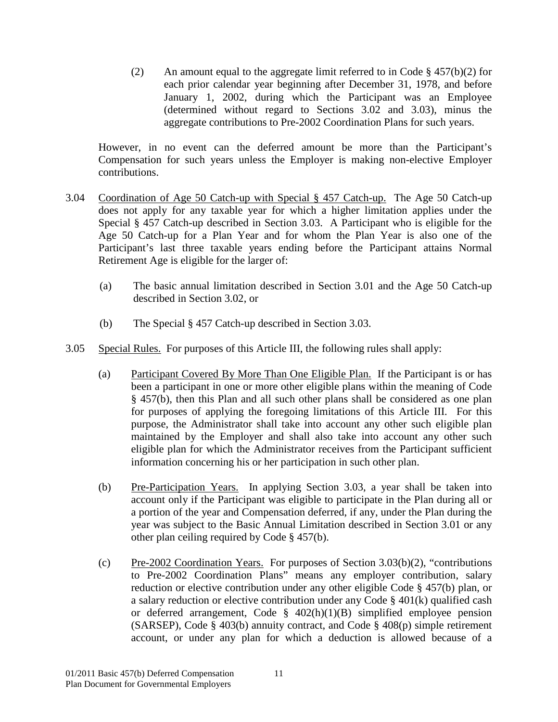(2) An amount equal to the aggregate limit referred to in Code  $\S$  457(b)(2) for each prior calendar year beginning after December 31, 1978, and before January 1, 2002, during which the Participant was an Employee (determined without regard to Sections 3.02 and 3.03), minus the aggregate contributions to Pre-2002 Coordination Plans for such years.

However, in no event can the deferred amount be more than the Participant's Compensation for such years unless the Employer is making non-elective Employer contributions.

- <span id="page-15-0"></span>3.04 Coordination of Age 50 Catch-up with Special § 457 Catch-up. The Age 50 Catch-up does not apply for any taxable year for which a higher limitation applies under the Special § 457 Catch-up described in Section 3.03. A Participant who is eligible for the Age 50 Catch-up for a Plan Year and for whom the Plan Year is also one of the Participant's last three taxable years ending before the Participant attains Normal Retirement Age is eligible for the larger of:
	- (a) The basic annual limitation described in Section 3.01 and the Age 50 Catch-up described in Section 3.02, or
	- (b) The Special § 457 Catch-up described in Section 3.03.
- <span id="page-15-1"></span>3.05 Special Rules. For purposes of this Article III, the following rules shall apply:
	- (a) Participant Covered By More Than One Eligible Plan. If the Participant is or has been a participant in one or more other eligible plans within the meaning of Code § 457(b), then this Plan and all such other plans shall be considered as one plan for purposes of applying the foregoing limitations of this Article III. For this purpose, the Administrator shall take into account any other such eligible plan maintained by the Employer and shall also take into account any other such eligible plan for which the Administrator receives from the Participant sufficient information concerning his or her participation in such other plan.
	- (b) Pre-Participation Years. In applying Section 3.03, a year shall be taken into account only if the Participant was eligible to participate in the Plan during all or a portion of the year and Compensation deferred, if any, under the Plan during the year was subject to the Basic Annual Limitation described in Section 3.01 or any other plan ceiling required by Code § 457(b).
	- (c) Pre-2002 Coordination Years. For purposes of Section 3.03(b)(2), "contributions to Pre-2002 Coordination Plans" means any employer contribution, salary reduction or elective contribution under any other eligible Code § 457(b) plan, or a salary reduction or elective contribution under any Code § 401(k) qualified cash or deferred arrangement, Code § 402(h)(1)(B) simplified employee pension (SARSEP), Code § 403(b) annuity contract, and Code § 408(p) simple retirement account, or under any plan for which a deduction is allowed because of a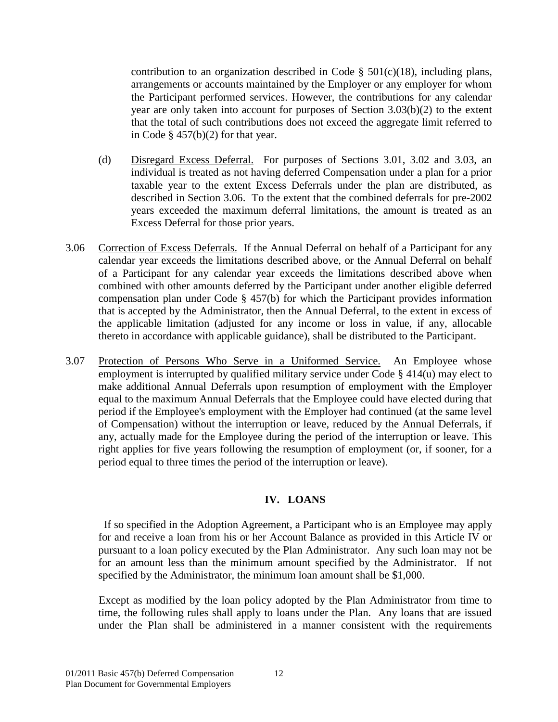contribution to an organization described in Code  $\S$  501(c)(18), including plans, arrangements or accounts maintained by the Employer or any employer for whom the Participant performed services. However, the contributions for any calendar year are only taken into account for purposes of Section 3.03(b)(2) to the extent that the total of such contributions does not exceed the aggregate limit referred to in Code  $\S$  457(b)(2) for that year.

- (d) Disregard Excess Deferral. For purposes of Sections 3.01, 3.02 and 3.03, an individual is treated as not having deferred Compensation under a plan for a prior taxable year to the extent Excess Deferrals under the plan are distributed, as described in Section 3.06. To the extent that the combined deferrals for pre-2002 years exceeded the maximum deferral limitations, the amount is treated as an Excess Deferral for those prior years.
- <span id="page-16-0"></span>3.06 Correction of Excess Deferrals. If the Annual Deferral on behalf of a Participant for any calendar year exceeds the limitations described above, or the Annual Deferral on behalf of a Participant for any calendar year exceeds the limitations described above when combined with other amounts deferred by the Participant under another eligible deferred compensation plan under Code § 457(b) for which the Participant provides information that is accepted by the Administrator, then the Annual Deferral, to the extent in excess of the applicable limitation (adjusted for any income or loss in value, if any, allocable thereto in accordance with applicable guidance), shall be distributed to the Participant.
- <span id="page-16-1"></span>3.07 Protection of Persons Who Serve in a Uniformed Service. An Employee whose employment is interrupted by qualified military service under Code § 414(u) may elect to make additional Annual Deferrals upon resumption of employment with the Employer equal to the maximum Annual Deferrals that the Employee could have elected during that period if the Employee's employment with the Employer had continued (at the same level of Compensation) without the interruption or leave, reduced by the Annual Deferrals, if any, actually made for the Employee during the period of the interruption or leave. This right applies for five years following the resumption of employment (or, if sooner, for a period equal to three times the period of the interruption or leave).

## **IV. LOANS**

<span id="page-16-2"></span> If so specified in the Adoption Agreement, a Participant who is an Employee may apply for and receive a loan from his or her Account Balance as provided in this Article IV or pursuant to a loan policy executed by the Plan Administrator. Any such loan may not be for an amount less than the minimum amount specified by the Administrator. If not specified by the Administrator, the minimum loan amount shall be \$1,000.

Except as modified by the loan policy adopted by the Plan Administrator from time to time, the following rules shall apply to loans under the Plan. Any loans that are issued under the Plan shall be administered in a manner consistent with the requirements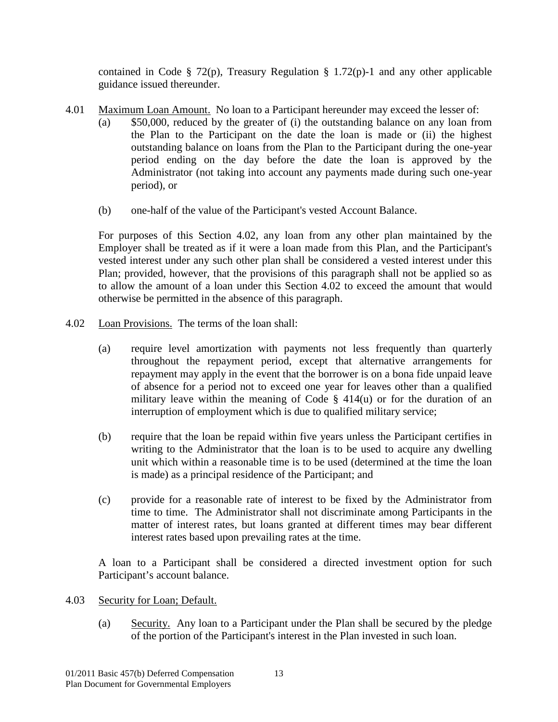contained in Code § 72(p), Treasury Regulation § 1.72(p)-1 and any other applicable guidance issued thereunder.

- <span id="page-17-0"></span>4.01 Maximum Loan Amount. No loan to a Participant hereunder may exceed the lesser of:
	- (a) \$50,000, reduced by the greater of (i) the outstanding balance on any loan from the Plan to the Participant on the date the loan is made or (ii) the highest outstanding balance on loans from the Plan to the Participant during the one-year period ending on the day before the date the loan is approved by the Administrator (not taking into account any payments made during such one-year period), or
	- (b) one-half of the value of the Participant's vested Account Balance.

For purposes of this Section 4.02, any loan from any other plan maintained by the Employer shall be treated as if it were a loan made from this Plan, and the Participant's vested interest under any such other plan shall be considered a vested interest under this Plan; provided, however, that the provisions of this paragraph shall not be applied so as to allow the amount of a loan under this Section 4.02 to exceed the amount that would otherwise be permitted in the absence of this paragraph.

- <span id="page-17-1"></span>4.02 Loan Provisions. The terms of the loan shall:
	- (a) require level amortization with payments not less frequently than quarterly throughout the repayment period, except that alternative arrangements for repayment may apply in the event that the borrower is on a bona fide unpaid leave of absence for a period not to exceed one year for leaves other than a qualified military leave within the meaning of Code § 414(u) or for the duration of an interruption of employment which is due to qualified military service;
	- (b) require that the loan be repaid within five years unless the Participant certifies in writing to the Administrator that the loan is to be used to acquire any dwelling unit which within a reasonable time is to be used (determined at the time the loan is made) as a principal residence of the Participant; and
	- (c) provide for a reasonable rate of interest to be fixed by the Administrator from time to time. The Administrator shall not discriminate among Participants in the matter of interest rates, but loans granted at different times may bear different interest rates based upon prevailing rates at the time.

A loan to a Participant shall be considered a directed investment option for such Participant's account balance.

- <span id="page-17-2"></span>4.03 Security for Loan; Default.
	- (a) Security. Any loan to a Participant under the Plan shall be secured by the pledge of the portion of the Participant's interest in the Plan invested in such loan.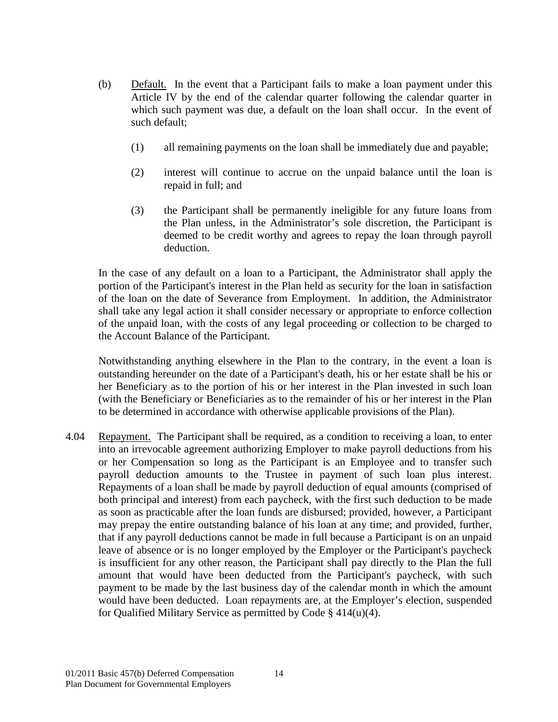- (b) Default. In the event that a Participant fails to make a loan payment under this Article IV by the end of the calendar quarter following the calendar quarter in which such payment was due, a default on the loan shall occur. In the event of such default;
	- (1) all remaining payments on the loan shall be immediately due and payable;
	- (2) interest will continue to accrue on the unpaid balance until the loan is repaid in full; and
	- (3) the Participant shall be permanently ineligible for any future loans from the Plan unless, in the Administrator's sole discretion, the Participant is deemed to be credit worthy and agrees to repay the loan through payroll deduction.

In the case of any default on a loan to a Participant, the Administrator shall apply the portion of the Participant's interest in the Plan held as security for the loan in satisfaction of the loan on the date of Severance from Employment. In addition, the Administrator shall take any legal action it shall consider necessary or appropriate to enforce collection of the unpaid loan, with the costs of any legal proceeding or collection to be charged to the Account Balance of the Participant.

Notwithstanding anything elsewhere in the Plan to the contrary, in the event a loan is outstanding hereunder on the date of a Participant's death, his or her estate shall be his or her Beneficiary as to the portion of his or her interest in the Plan invested in such loan (with the Beneficiary or Beneficiaries as to the remainder of his or her interest in the Plan to be determined in accordance with otherwise applicable provisions of the Plan).

<span id="page-18-0"></span>4.04 Repayment. The Participant shall be required, as a condition to receiving a loan, to enter into an irrevocable agreement authorizing Employer to make payroll deductions from his or her Compensation so long as the Participant is an Employee and to transfer such payroll deduction amounts to the Trustee in payment of such loan plus interest. Repayments of a loan shall be made by payroll deduction of equal amounts (comprised of both principal and interest) from each paycheck, with the first such deduction to be made as soon as practicable after the loan funds are disbursed; provided, however, a Participant may prepay the entire outstanding balance of his loan at any time; and provided, further, that if any payroll deductions cannot be made in full because a Participant is on an unpaid leave of absence or is no longer employed by the Employer or the Participant's paycheck is insufficient for any other reason, the Participant shall pay directly to the Plan the full amount that would have been deducted from the Participant's paycheck, with such payment to be made by the last business day of the calendar month in which the amount would have been deducted. Loan repayments are, at the Employer's election, suspended for Qualified Military Service as permitted by Code § 414(u)(4).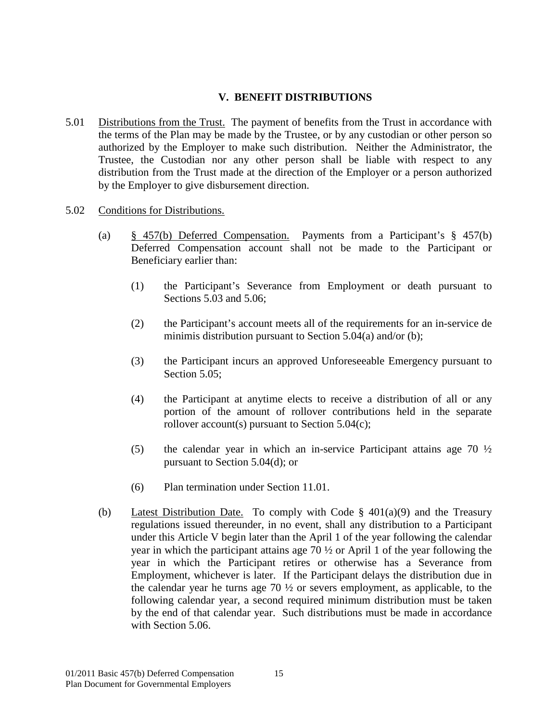## **V. BENEFIT DISTRIBUTIONS**

- <span id="page-19-1"></span><span id="page-19-0"></span>5.01 Distributions from the Trust. The payment of benefits from the Trust in accordance with the terms of the Plan may be made by the Trustee, or by any custodian or other person so authorized by the Employer to make such distribution. Neither the Administrator, the Trustee, the Custodian nor any other person shall be liable with respect to any distribution from the Trust made at the direction of the Employer or a person authorized by the Employer to give disbursement direction.
- <span id="page-19-2"></span>5.02 Conditions for Distributions.
	- (a) § 457(b) Deferred Compensation. Payments from a Participant's § 457(b) Deferred Compensation account shall not be made to the Participant or Beneficiary earlier than:
		- (1) the Participant's Severance from Employment or death pursuant to Sections 5.03 and 5.06;
		- (2) the Participant's account meets all of the requirements for an in-service de minimis distribution pursuant to Section 5.04(a) and/or (b);
		- (3) the Participant incurs an approved Unforeseeable Emergency pursuant to Section 5.05;
		- (4) the Participant at anytime elects to receive a distribution of all or any portion of the amount of rollover contributions held in the separate rollover account(s) pursuant to Section  $5.04(c)$ ;
		- (5) the calendar year in which an in-service Participant attains age 70 ½ pursuant to Section 5.04(d); or
		- (6) Plan termination under Section 11.01.
	- (b) Latest Distribution Date. To comply with Code  $\S$  401(a)(9) and the Treasury regulations issued thereunder, in no event, shall any distribution to a Participant under this Article V begin later than the April 1 of the year following the calendar year in which the participant attains age 70 ½ or April 1 of the year following the year in which the Participant retires or otherwise has a Severance from Employment, whichever is later. If the Participant delays the distribution due in the calendar year he turns age  $70\frac{1}{2}$  or severs employment, as applicable, to the following calendar year, a second required minimum distribution must be taken by the end of that calendar year. Such distributions must be made in accordance with Section 5.06.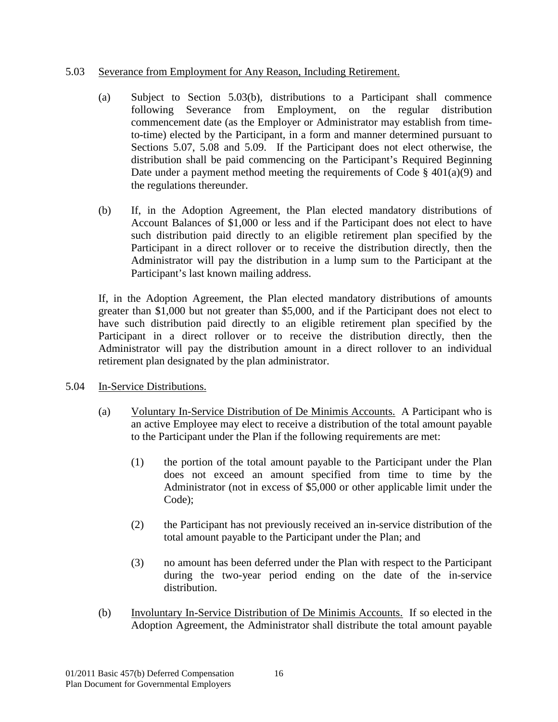#### <span id="page-20-0"></span>5.03 Severance from Employment for Any Reason, Including Retirement.

- (a) Subject to Section 5.03(b), distributions to a Participant shall commence following Severance from Employment, on the regular distribution commencement date (as the Employer or Administrator may establish from timeto-time) elected by the Participant, in a form and manner determined pursuant to Sections 5.07, 5.08 and 5.09. If the Participant does not elect otherwise, the distribution shall be paid commencing on the Participant's Required Beginning Date under a payment method meeting the requirements of Code  $\S$  401(a)(9) and the regulations thereunder.
- (b) If, in the Adoption Agreement, the Plan elected mandatory distributions of Account Balances of \$1,000 or less and if the Participant does not elect to have such distribution paid directly to an eligible retirement plan specified by the Participant in a direct rollover or to receive the distribution directly, then the Administrator will pay the distribution in a lump sum to the Participant at the Participant's last known mailing address.

If, in the Adoption Agreement, the Plan elected mandatory distributions of amounts greater than \$1,000 but not greater than \$5,000, and if the Participant does not elect to have such distribution paid directly to an eligible retirement plan specified by the Participant in a direct rollover or to receive the distribution directly, then the Administrator will pay the distribution amount in a direct rollover to an individual retirement plan designated by the plan administrator.

- <span id="page-20-1"></span>5.04 In-Service Distributions.
	- (a) Voluntary In-Service Distribution of De Minimis Accounts. A Participant who is an active Employee may elect to receive a distribution of the total amount payable to the Participant under the Plan if the following requirements are met:
		- (1) the portion of the total amount payable to the Participant under the Plan does not exceed an amount specified from time to time by the Administrator (not in excess of \$5,000 or other applicable limit under the Code);
		- (2) the Participant has not previously received an in-service distribution of the total amount payable to the Participant under the Plan; and
		- (3) no amount has been deferred under the Plan with respect to the Participant during the two-year period ending on the date of the in-service distribution.
	- (b) Involuntary In-Service Distribution of De Minimis Accounts. If so elected in the Adoption Agreement, the Administrator shall distribute the total amount payable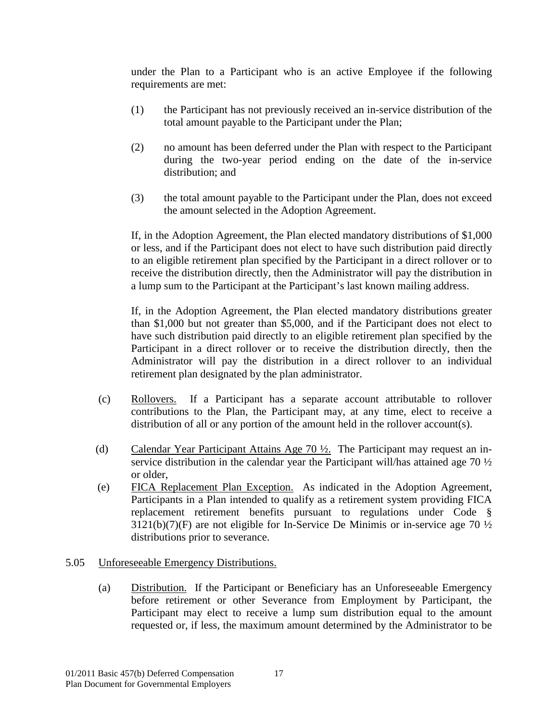under the Plan to a Participant who is an active Employee if the following requirements are met:

- (1) the Participant has not previously received an in-service distribution of the total amount payable to the Participant under the Plan;
- (2) no amount has been deferred under the Plan with respect to the Participant during the two-year period ending on the date of the in-service distribution; and
- (3) the total amount payable to the Participant under the Plan, does not exceed the amount selected in the Adoption Agreement.

If, in the Adoption Agreement, the Plan elected mandatory distributions of \$1,000 or less, and if the Participant does not elect to have such distribution paid directly to an eligible retirement plan specified by the Participant in a direct rollover or to receive the distribution directly, then the Administrator will pay the distribution in a lump sum to the Participant at the Participant's last known mailing address.

If, in the Adoption Agreement, the Plan elected mandatory distributions greater than \$1,000 but not greater than \$5,000, and if the Participant does not elect to have such distribution paid directly to an eligible retirement plan specified by the Participant in a direct rollover or to receive the distribution directly, then the Administrator will pay the distribution in a direct rollover to an individual retirement plan designated by the plan administrator.

- (c) Rollovers. If a Participant has a separate account attributable to rollover contributions to the Plan, the Participant may, at any time, elect to receive a distribution of all or any portion of the amount held in the rollover account(s).
- (d) Calendar Year Participant Attains Age 70 ½. The Participant may request an inservice distribution in the calendar year the Participant will/has attained age 70 ½ or older,
- (e) FICA Replacement Plan Exception. As indicated in the Adoption Agreement, Participants in a Plan intended to qualify as a retirement system providing FICA replacement retirement benefits pursuant to regulations under Code §  $3121(b)(7)(F)$  are not eligible for In-Service De Minimis or in-service age 70  $\frac{1}{2}$ distributions prior to severance.

## <span id="page-21-0"></span>5.05 Unforeseeable Emergency Distributions.

(a) Distribution. If the Participant or Beneficiary has an Unforeseeable Emergency before retirement or other Severance from Employment by Participant, the Participant may elect to receive a lump sum distribution equal to the amount requested or, if less, the maximum amount determined by the Administrator to be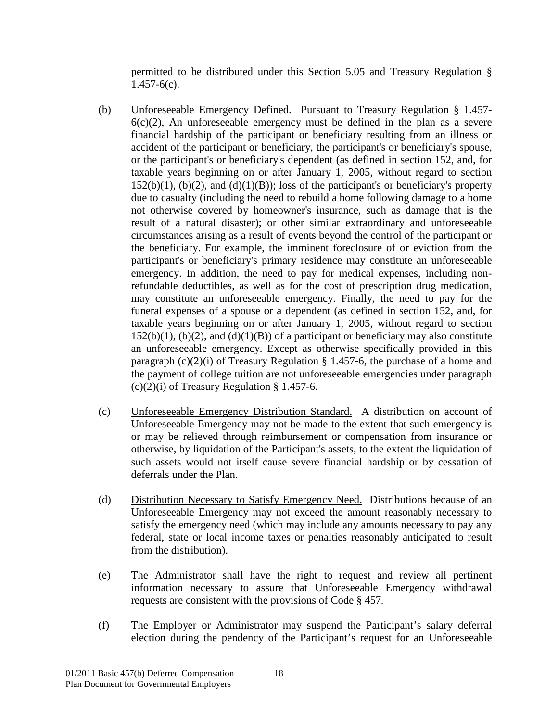permitted to be distributed under this Section 5.05 and Treasury Regulation §  $1.457 - 6(c)$ .

- (b) Unforeseeable Emergency Defined. Pursuant to Treasury Regulation § 1.457-  $6(c)(2)$ , An unforeseeable emergency must be defined in the plan as a severe financial hardship of the participant or beneficiary resulting from an illness or accident of the participant or beneficiary, the participant's or beneficiary's spouse, or the participant's or beneficiary's dependent (as defined in section 152, and, for taxable years beginning on or after January 1, 2005, without regard to section  $152(b)(1)$ ,  $(b)(2)$ , and  $(d)(1)(B)$ ; loss of the participant's or beneficiary's property due to casualty (including the need to rebuild a home following damage to a home not otherwise covered by homeowner's insurance, such as damage that is the result of a natural disaster); or other similar extraordinary and unforeseeable circumstances arising as a result of events beyond the control of the participant or the beneficiary. For example, the imminent foreclosure of or eviction from the participant's or beneficiary's primary residence may constitute an unforeseeable emergency. In addition, the need to pay for medical expenses, including nonrefundable deductibles, as well as for the cost of prescription drug medication, may constitute an unforeseeable emergency. Finally, the need to pay for the funeral expenses of a spouse or a dependent (as defined in section 152, and, for taxable years beginning on or after January 1, 2005, without regard to section  $152(b)(1)$ ,  $(b)(2)$ , and  $(d)(1)(B)$  of a participant or beneficiary may also constitute an unforeseeable emergency. Except as otherwise specifically provided in this paragraph  $(c)(2)(i)$  of Treasury Regulation § 1.457-6, the purchase of a home and the payment of college tuition are not unforeseeable emergencies under paragraph  $(c)(2)(i)$  of Treasury Regulation § 1.457-6.
- (c) Unforeseeable Emergency Distribution Standard. A distribution on account of Unforeseeable Emergency may not be made to the extent that such emergency is or may be relieved through reimbursement or compensation from insurance or otherwise, by liquidation of the Participant's assets, to the extent the liquidation of such assets would not itself cause severe financial hardship or by cessation of deferrals under the Plan.
- (d) Distribution Necessary to Satisfy Emergency Need. Distributions because of an Unforeseeable Emergency may not exceed the amount reasonably necessary to satisfy the emergency need (which may include any amounts necessary to pay any federal, state or local income taxes or penalties reasonably anticipated to result from the distribution).
- (e) The Administrator shall have the right to request and review all pertinent information necessary to assure that Unforeseeable Emergency withdrawal requests are consistent with the provisions of Code § 457.
- (f) The Employer or Administrator may suspend the Participant's salary deferral election during the pendency of the Participant's request for an Unforeseeable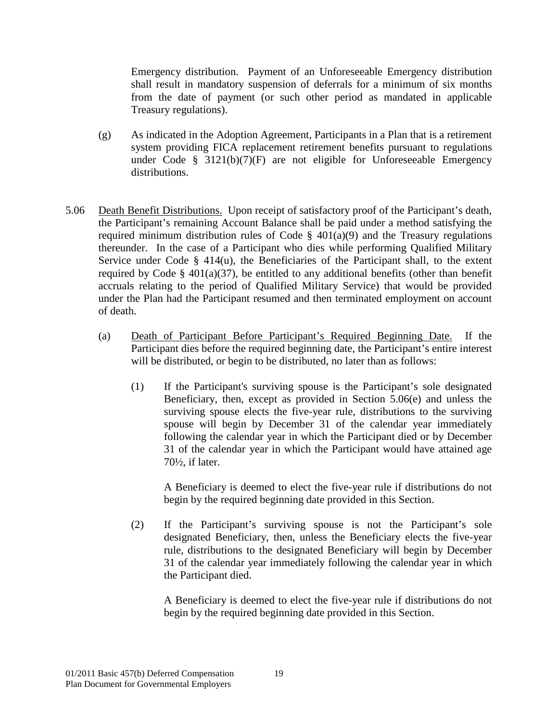Emergency distribution. Payment of an Unforeseeable Emergency distribution shall result in mandatory suspension of deferrals for a minimum of six months from the date of payment (or such other period as mandated in applicable Treasury regulations).

- (g) As indicated in the Adoption Agreement, Participants in a Plan that is a retirement system providing FICA replacement retirement benefits pursuant to regulations under Code  $\S$  3121(b)(7)(F) are not eligible for Unforeseeable Emergency distributions.
- <span id="page-23-0"></span>5.06 Death Benefit Distributions. Upon receipt of satisfactory proof of the Participant's death, the Participant's remaining Account Balance shall be paid under a method satisfying the required minimum distribution rules of Code  $\S$  401(a)(9) and the Treasury regulations thereunder. In the case of a Participant who dies while performing Qualified Military Service under Code  $\S$  414(u), the Beneficiaries of the Participant shall, to the extent required by Code § 401(a)(37), be entitled to any additional benefits (other than benefit accruals relating to the period of Qualified Military Service) that would be provided under the Plan had the Participant resumed and then terminated employment on account of death.
	- (a) Death of Participant Before Participant's Required Beginning Date. If the Participant dies before the required beginning date, the Participant's entire interest will be distributed, or begin to be distributed, no later than as follows:
		- (1) If the Participant's surviving spouse is the Participant's sole designated Beneficiary, then, except as provided in Section 5.06(e) and unless the surviving spouse elects the five-year rule, distributions to the surviving spouse will begin by December 31 of the calendar year immediately following the calendar year in which the Participant died or by December 31 of the calendar year in which the Participant would have attained age 70½, if later.

A Beneficiary is deemed to elect the five-year rule if distributions do not begin by the required beginning date provided in this Section.

(2) If the Participant's surviving spouse is not the Participant's sole designated Beneficiary, then, unless the Beneficiary elects the five-year rule, distributions to the designated Beneficiary will begin by December 31 of the calendar year immediately following the calendar year in which the Participant died.

A Beneficiary is deemed to elect the five-year rule if distributions do not begin by the required beginning date provided in this Section.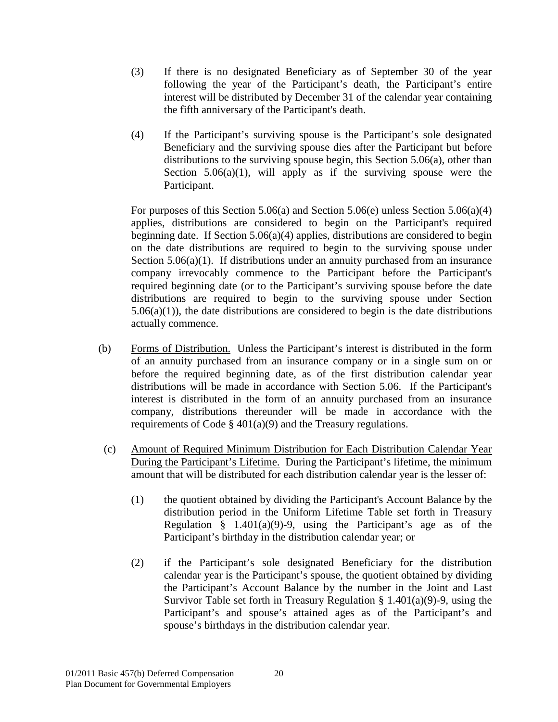- (3) If there is no designated Beneficiary as of September 30 of the year following the year of the Participant's death, the Participant's entire interest will be distributed by December 31 of the calendar year containing the fifth anniversary of the Participant's death.
- (4) If the Participant's surviving spouse is the Participant's sole designated Beneficiary and the surviving spouse dies after the Participant but before distributions to the surviving spouse begin, this Section 5.06(a), other than Section  $5.06(a)(1)$ , will apply as if the surviving spouse were the Participant.

For purposes of this Section 5.06(a) and Section 5.06(e) unless Section 5.06(a)(4) applies, distributions are considered to begin on the Participant's required beginning date. If Section 5.06(a)(4) applies, distributions are considered to begin on the date distributions are required to begin to the surviving spouse under Section 5.06(a)(1). If distributions under an annuity purchased from an insurance company irrevocably commence to the Participant before the Participant's required beginning date (or to the Participant's surviving spouse before the date distributions are required to begin to the surviving spouse under Section  $5.06(a)(1)$ , the date distributions are considered to begin is the date distributions actually commence.

- (b) Forms of Distribution. Unless the Participant's interest is distributed in the form of an annuity purchased from an insurance company or in a single sum on or before the required beginning date, as of the first distribution calendar year distributions will be made in accordance with Section 5.06. If the Participant's interest is distributed in the form of an annuity purchased from an insurance company, distributions thereunder will be made in accordance with the requirements of Code  $\S$  401(a)(9) and the Treasury regulations.
- (c) Amount of Required Minimum Distribution for Each Distribution Calendar Year During the Participant's Lifetime. During the Participant's lifetime, the minimum amount that will be distributed for each distribution calendar year is the lesser of:
	- (1) the quotient obtained by dividing the Participant's Account Balance by the distribution period in the Uniform Lifetime Table set forth in Treasury Regulation  $§$  1.401(a)(9)-9, using the Participant's age as of the Participant's birthday in the distribution calendar year; or
	- (2) if the Participant's sole designated Beneficiary for the distribution calendar year is the Participant's spouse, the quotient obtained by dividing the Participant's Account Balance by the number in the Joint and Last Survivor Table set forth in Treasury Regulation  $\S 1.401(a)(9)$ -9, using the Participant's and spouse's attained ages as of the Participant's and spouse's birthdays in the distribution calendar year.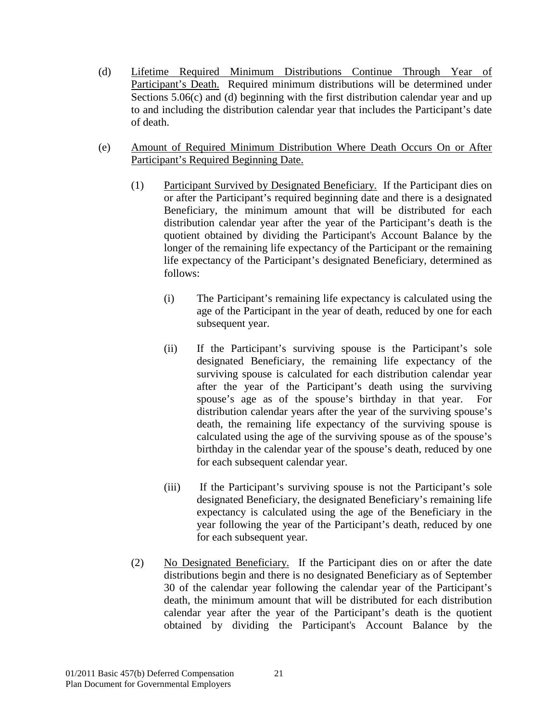- (d) Lifetime Required Minimum Distributions Continue Through Year of Participant's Death. Required minimum distributions will be determined under Sections 5.06(c) and (d) beginning with the first distribution calendar year and up to and including the distribution calendar year that includes the Participant's date of death.
- (e) Amount of Required Minimum Distribution Where Death Occurs On or After Participant's Required Beginning Date.
	- (1) Participant Survived by Designated Beneficiary. If the Participant dies on or after the Participant's required beginning date and there is a designated Beneficiary, the minimum amount that will be distributed for each distribution calendar year after the year of the Participant's death is the quotient obtained by dividing the Participant's Account Balance by the longer of the remaining life expectancy of the Participant or the remaining life expectancy of the Participant's designated Beneficiary, determined as follows:
		- (i) The Participant's remaining life expectancy is calculated using the age of the Participant in the year of death, reduced by one for each subsequent year.
		- (ii) If the Participant's surviving spouse is the Participant's sole designated Beneficiary, the remaining life expectancy of the surviving spouse is calculated for each distribution calendar year after the year of the Participant's death using the surviving spouse's age as of the spouse's birthday in that year. For distribution calendar years after the year of the surviving spouse's death, the remaining life expectancy of the surviving spouse is calculated using the age of the surviving spouse as of the spouse's birthday in the calendar year of the spouse's death, reduced by one for each subsequent calendar year.
		- (iii) If the Participant's surviving spouse is not the Participant's sole designated Beneficiary, the designated Beneficiary's remaining life expectancy is calculated using the age of the Beneficiary in the year following the year of the Participant's death, reduced by one for each subsequent year.
	- (2) No Designated Beneficiary. If the Participant dies on or after the date distributions begin and there is no designated Beneficiary as of September 30 of the calendar year following the calendar year of the Participant's death, the minimum amount that will be distributed for each distribution calendar year after the year of the Participant's death is the quotient obtained by dividing the Participant's Account Balance by the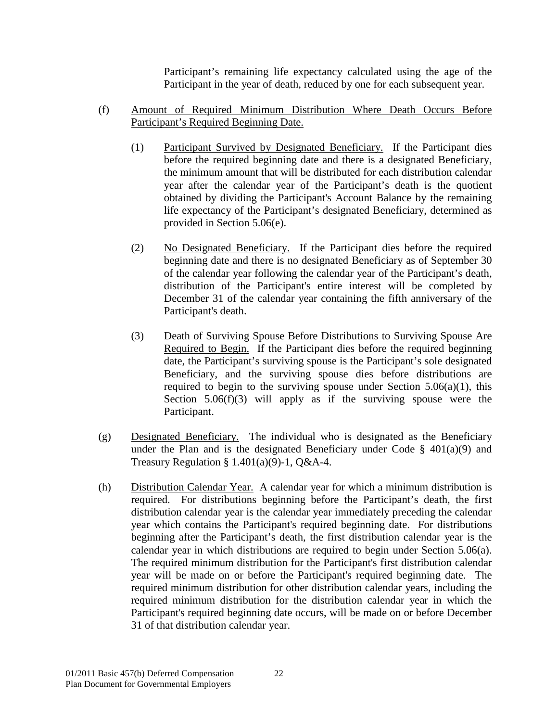Participant's remaining life expectancy calculated using the age of the Participant in the year of death, reduced by one for each subsequent year.

- (f) Amount of Required Minimum Distribution Where Death Occurs Before Participant's Required Beginning Date.
	- (1) Participant Survived by Designated Beneficiary. If the Participant dies before the required beginning date and there is a designated Beneficiary, the minimum amount that will be distributed for each distribution calendar year after the calendar year of the Participant's death is the quotient obtained by dividing the Participant's Account Balance by the remaining life expectancy of the Participant's designated Beneficiary, determined as provided in Section 5.06(e).
	- (2) No Designated Beneficiary. If the Participant dies before the required beginning date and there is no designated Beneficiary as of September 30 of the calendar year following the calendar year of the Participant's death, distribution of the Participant's entire interest will be completed by December 31 of the calendar year containing the fifth anniversary of the Participant's death.
	- (3) Death of Surviving Spouse Before Distributions to Surviving Spouse Are Required to Begin. If the Participant dies before the required beginning date, the Participant's surviving spouse is the Participant's sole designated Beneficiary, and the surviving spouse dies before distributions are required to begin to the surviving spouse under Section  $5.06(a)(1)$ , this Section  $5.06(f)(3)$  will apply as if the surviving spouse were the Participant.
- (g) Designated Beneficiary. The individual who is designated as the Beneficiary under the Plan and is the designated Beneficiary under Code  $\S$  401(a)(9) and Treasury Regulation §  $1.401(a)(9)$ -1, Q&A-4.
- (h) Distribution Calendar Year. A calendar year for which a minimum distribution is required. For distributions beginning before the Participant's death, the first distribution calendar year is the calendar year immediately preceding the calendar year which contains the Participant's required beginning date. For distributions beginning after the Participant's death, the first distribution calendar year is the calendar year in which distributions are required to begin under Section 5.06(a). The required minimum distribution for the Participant's first distribution calendar year will be made on or before the Participant's required beginning date. The required minimum distribution for other distribution calendar years, including the required minimum distribution for the distribution calendar year in which the Participant's required beginning date occurs, will be made on or before December 31 of that distribution calendar year.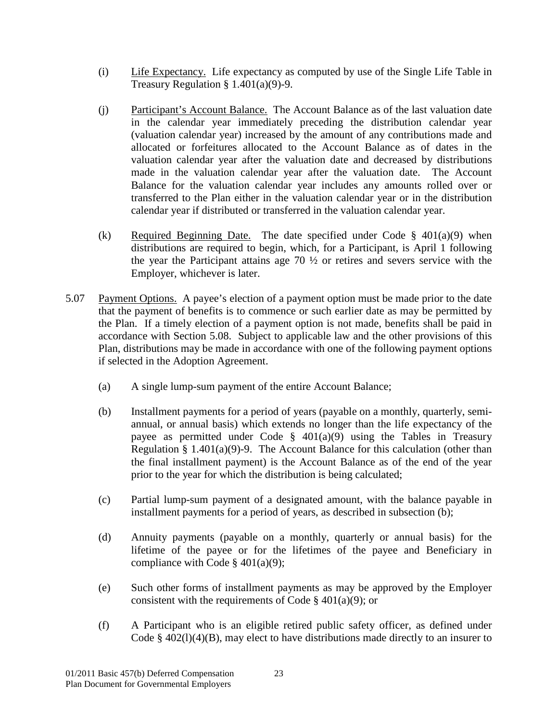- (i) Life Expectancy. Life expectancy as computed by use of the Single Life Table in Treasury Regulation  $§ 1.401(a)(9)-9.$
- (j) Participant's Account Balance. The Account Balance as of the last valuation date in the calendar year immediately preceding the distribution calendar year (valuation calendar year) increased by the amount of any contributions made and allocated or forfeitures allocated to the Account Balance as of dates in the valuation calendar year after the valuation date and decreased by distributions made in the valuation calendar year after the valuation date. The Account Balance for the valuation calendar year includes any amounts rolled over or transferred to the Plan either in the valuation calendar year or in the distribution calendar year if distributed or transferred in the valuation calendar year.
- (k) Required Beginning Date. The date specified under Code  $\S$  401(a)(9) when distributions are required to begin, which, for a Participant, is April 1 following the year the Participant attains age 70 ½ or retires and severs service with the Employer, whichever is later.
- <span id="page-27-0"></span>5.07 Payment Options. A payee's election of a payment option must be made prior to the date that the payment of benefits is to commence or such earlier date as may be permitted by the Plan. If a timely election of a payment option is not made, benefits shall be paid in accordance with Section 5.08. Subject to applicable law and the other provisions of this Plan, distributions may be made in accordance with one of the following payment options if selected in the Adoption Agreement.
	- (a) A single lump-sum payment of the entire Account Balance;
	- (b) Installment payments for a period of years (payable on a monthly, quarterly, semiannual, or annual basis) which extends no longer than the life expectancy of the payee as permitted under Code  $\S$  401(a)(9) using the Tables in Treasury Regulation § 1.401(a)(9)-9. The Account Balance for this calculation (other than the final installment payment) is the Account Balance as of the end of the year prior to the year for which the distribution is being calculated;
	- (c) Partial lump-sum payment of a designated amount, with the balance payable in installment payments for a period of years, as described in subsection (b);
	- (d) Annuity payments (payable on a monthly, quarterly or annual basis) for the lifetime of the payee or for the lifetimes of the payee and Beneficiary in compliance with Code  $§$  401(a)(9);
	- (e) Such other forms of installment payments as may be approved by the Employer consistent with the requirements of Code  $\S$  401(a)(9); or
	- (f) A Participant who is an eligible retired public safety officer, as defined under Code  $\S$  402(1)(4)(B), may elect to have distributions made directly to an insurer to

23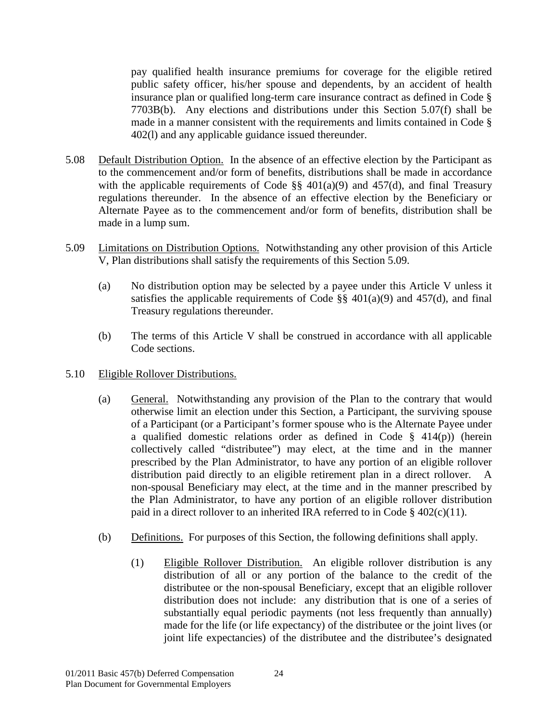pay qualified health insurance premiums for coverage for the eligible retired public safety officer, his/her spouse and dependents, by an accident of health insurance plan or qualified long-term care insurance contract as defined in Code § 7703B(b). Any elections and distributions under this Section 5.07(f) shall be made in a manner consistent with the requirements and limits contained in Code § 402(l) and any applicable guidance issued thereunder.

- <span id="page-28-0"></span>5.08 Default Distribution Option. In the absence of an effective election by the Participant as to the commencement and/or form of benefits, distributions shall be made in accordance with the applicable requirements of Code  $\S$ § 401(a)(9) and 457(d), and final Treasury regulations thereunder. In the absence of an effective election by the Beneficiary or Alternate Payee as to the commencement and/or form of benefits, distribution shall be made in a lump sum.
- <span id="page-28-1"></span>5.09 Limitations on Distribution Options. Notwithstanding any other provision of this Article V, Plan distributions shall satisfy the requirements of this Section 5.09.
	- (a) No distribution option may be selected by a payee under this Article V unless it satisfies the applicable requirements of Code  $\S$ § 401(a)(9) and 457(d), and final Treasury regulations thereunder.
	- (b) The terms of this Article V shall be construed in accordance with all applicable Code sections.
- <span id="page-28-2"></span>5.10 Eligible Rollover Distributions.
	- (a) General. Notwithstanding any provision of the Plan to the contrary that would otherwise limit an election under this Section, a Participant, the surviving spouse of a Participant (or a Participant's former spouse who is the Alternate Payee under a qualified domestic relations order as defined in Code § 414(p)) (herein collectively called "distributee") may elect, at the time and in the manner prescribed by the Plan Administrator, to have any portion of an eligible rollover distribution paid directly to an eligible retirement plan in a direct rollover. non-spousal Beneficiary may elect, at the time and in the manner prescribed by the Plan Administrator, to have any portion of an eligible rollover distribution paid in a direct rollover to an inherited IRA referred to in Code § 402(c)(11).
	- (b) Definitions. For purposes of this Section, the following definitions shall apply.
		- (1) Eligible Rollover Distribution. An eligible rollover distribution is any distribution of all or any portion of the balance to the credit of the distributee or the non-spousal Beneficiary, except that an eligible rollover distribution does not include: any distribution that is one of a series of substantially equal periodic payments (not less frequently than annually) made for the life (or life expectancy) of the distributee or the joint lives (or joint life expectancies) of the distributee and the distributee's designated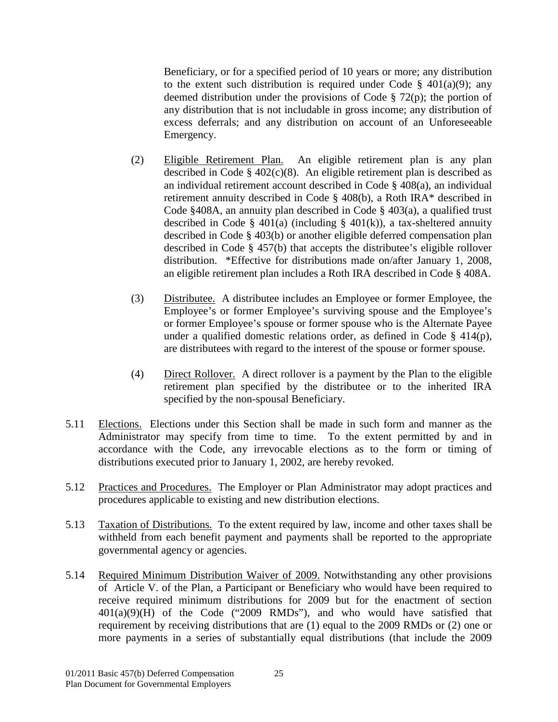Beneficiary, or for a specified period of 10 years or more; any distribution to the extent such distribution is required under Code  $\S$  401(a)(9); any deemed distribution under the provisions of Code § 72(p); the portion of any distribution that is not includable in gross income; any distribution of excess deferrals; and any distribution on account of an Unforeseeable Emergency.

- (2) Eligible Retirement Plan. An eligible retirement plan is any plan described in Code § 402(c)(8). An eligible retirement plan is described as an individual retirement account described in Code § 408(a), an individual retirement annuity described in Code § 408(b), a Roth IRA\* described in Code §408A, an annuity plan described in Code § 403(a), a qualified trust described in Code § 401(a) (including § 401(k)), a tax-sheltered annuity described in Code § 403(b) or another eligible deferred compensation plan described in Code § 457(b) that accepts the distributee's eligible rollover distribution. \*Effective for distributions made on/after January 1, 2008, an eligible retirement plan includes a Roth IRA described in Code § 408A.
- (3) Distributee. A distributee includes an Employee or former Employee, the Employee's or former Employee's surviving spouse and the Employee's or former Employee's spouse or former spouse who is the Alternate Payee under a qualified domestic relations order, as defined in Code § 414(p), are distributees with regard to the interest of the spouse or former spouse.
- (4) Direct Rollover. A direct rollover is a payment by the Plan to the eligible retirement plan specified by the distributee or to the inherited IRA specified by the non-spousal Beneficiary.
- <span id="page-29-0"></span>5.11 Elections. Elections under this Section shall be made in such form and manner as the Administrator may specify from time to time. To the extent permitted by and in accordance with the Code, any irrevocable elections as to the form or timing of distributions executed prior to January 1, 2002, are hereby revoked.
- <span id="page-29-1"></span>5.12 Practices and Procedures. The Employer or Plan Administrator may adopt practices and procedures applicable to existing and new distribution elections.
- <span id="page-29-2"></span>5.13 Taxation of Distributions. To the extent required by law, income and other taxes shall be withheld from each benefit payment and payments shall be reported to the appropriate governmental agency or agencies.
- 5.14 Required Minimum Distribution Waiver of 2009. Notwithstanding any other provisions of Article V. of the Plan, a Participant or Beneficiary who would have been required to receive required minimum distributions for 2009 but for the enactment of section  $401(a)(9)(H)$  of the Code ("2009 RMDs"), and who would have satisfied that requirement by receiving distributions that are (1) equal to the 2009 RMDs or (2) one or more payments in a series of substantially equal distributions (that include the 2009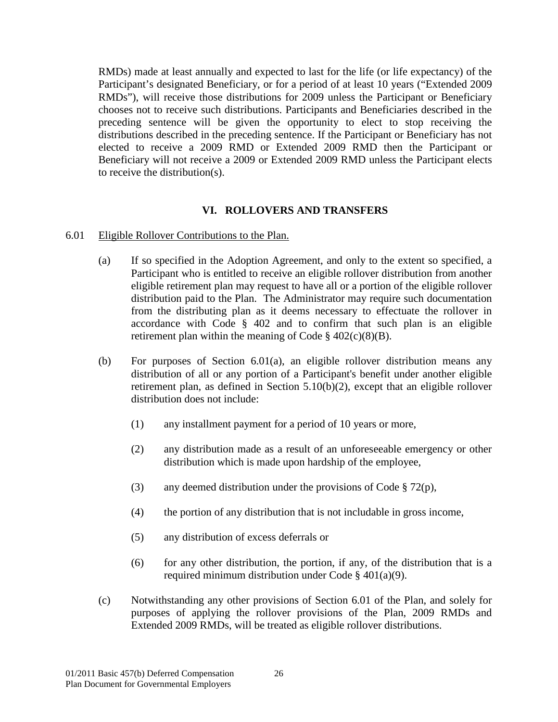RMDs) made at least annually and expected to last for the life (or life expectancy) of the Participant's designated Beneficiary, or for a period of at least 10 years ("Extended 2009 RMDs"), will receive those distributions for 2009 unless the Participant or Beneficiary chooses not to receive such distributions. Participants and Beneficiaries described in the preceding sentence will be given the opportunity to elect to stop receiving the distributions described in the preceding sentence. If the Participant or Beneficiary has not elected to receive a 2009 RMD or Extended 2009 RMD then the Participant or Beneficiary will not receive a 2009 or Extended 2009 RMD unless the Participant elects to receive the distribution(s).

## **VI. ROLLOVERS AND TRANSFERS**

#### <span id="page-30-1"></span><span id="page-30-0"></span>6.01 Eligible Rollover Contributions to the Plan.

- (a) If so specified in the Adoption Agreement, and only to the extent so specified, a Participant who is entitled to receive an eligible rollover distribution from another eligible retirement plan may request to have all or a portion of the eligible rollover distribution paid to the Plan. The Administrator may require such documentation from the distributing plan as it deems necessary to effectuate the rollover in accordance with Code § 402 and to confirm that such plan is an eligible retirement plan within the meaning of Code  $\S$  402(c)(8)(B).
- (b) For purposes of Section 6.01(a), an eligible rollover distribution means any distribution of all or any portion of a Participant's benefit under another eligible retirement plan, as defined in Section 5.10(b)(2), except that an eligible rollover distribution does not include:
	- (1) any installment payment for a period of 10 years or more,
	- (2) any distribution made as a result of an unforeseeable emergency or other distribution which is made upon hardship of the employee,
	- (3) any deemed distribution under the provisions of Code  $\S 72(p)$ ,
	- (4) the portion of any distribution that is not includable in gross income,
	- (5) any distribution of excess deferrals or
	- (6) for any other distribution, the portion, if any, of the distribution that is a required minimum distribution under Code § 401(a)(9).
- (c) Notwithstanding any other provisions of Section 6.01 of the Plan, and solely for purposes of applying the rollover provisions of the Plan, 2009 RMDs and Extended 2009 RMDs, will be treated as eligible rollover distributions.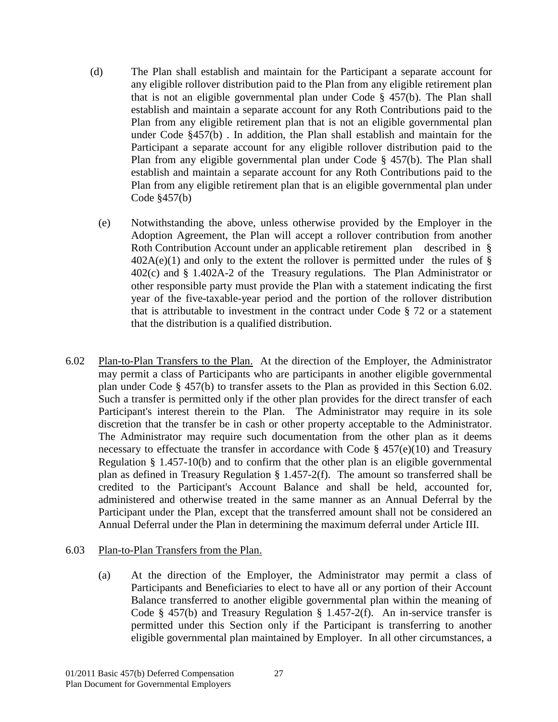- (d) The Plan shall establish and maintain for the Participant a separate account for any eligible rollover distribution paid to the Plan from any eligible retirement plan that is not an eligible governmental plan under Code § 457(b). The Plan shall establish and maintain a separate account for any Roth Contributions paid to the Plan from any eligible retirement plan that is not an eligible governmental plan under Code §457(b) . In addition, the Plan shall establish and maintain for the Participant a separate account for any eligible rollover distribution paid to the Plan from any eligible governmental plan under Code § 457(b). The Plan shall establish and maintain a separate account for any Roth Contributions paid to the Plan from any eligible retirement plan that is an eligible governmental plan under Code §457(b)
	- (e) Notwithstanding the above, unless otherwise provided by the Employer in the Adoption Agreement, the Plan will accept a rollover contribution from another Roth Contribution Account under an applicable retirement plan described in §  $402A(e)(1)$  and only to the extent the rollover is permitted under the rules of § 402(c) and § 1.402A-2 of the Treasury regulations. The Plan Administrator or other responsible party must provide the Plan with a statement indicating the first year of the five-taxable-year period and the portion of the rollover distribution that is attributable to investment in the contract under Code § 72 or a statement that the distribution is a qualified distribution.
- <span id="page-31-0"></span>6.02 Plan-to-Plan Transfers to the Plan.At the direction of the Employer, the Administrator may permit a class of Participants who are participants in another eligible governmental plan under Code § 457(b) to transfer assets to the Plan as provided in this Section 6.02. Such a transfer is permitted only if the other plan provides for the direct transfer of each Participant's interest therein to the Plan. The Administrator may require in its sole discretion that the transfer be in cash or other property acceptable to the Administrator. The Administrator may require such documentation from the other plan as it deems necessary to effectuate the transfer in accordance with Code  $\S$  457(e)(10) and Treasury Regulation § 1.457-10(b) and to confirm that the other plan is an eligible governmental plan as defined in Treasury Regulation § 1.457-2(f). The amount so transferred shall be credited to the Participant's Account Balance and shall be held, accounted for, administered and otherwise treated in the same manner as an Annual Deferral by the Participant under the Plan, except that the transferred amount shall not be considered an Annual Deferral under the Plan in determining the maximum deferral under Article III.

#### <span id="page-31-1"></span>6.03 Plan-to-Plan Transfers from the Plan.

(a) At the direction of the Employer, the Administrator may permit a class of Participants and Beneficiaries to elect to have all or any portion of their Account Balance transferred to another eligible governmental plan within the meaning of Code § 457(b) and Treasury Regulation § 1.457-2(f). An in-service transfer is permitted under this Section only if the Participant is transferring to another eligible governmental plan maintained by Employer. In all other circumstances, a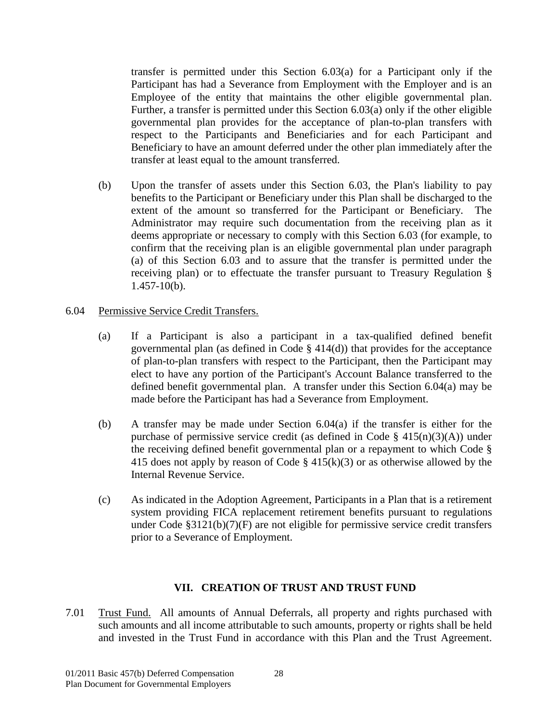transfer is permitted under this Section 6.03(a) for a Participant only if the Participant has had a Severance from Employment with the Employer and is an Employee of the entity that maintains the other eligible governmental plan. Further, a transfer is permitted under this Section 6.03(a) only if the other eligible governmental plan provides for the acceptance of plan-to-plan transfers with respect to the Participants and Beneficiaries and for each Participant and Beneficiary to have an amount deferred under the other plan immediately after the transfer at least equal to the amount transferred.

- (b) Upon the transfer of assets under this Section 6.03, the Plan's liability to pay benefits to the Participant or Beneficiary under this Plan shall be discharged to the extent of the amount so transferred for the Participant or Beneficiary. The Administrator may require such documentation from the receiving plan as it deems appropriate or necessary to comply with this Section 6.03 (for example, to confirm that the receiving plan is an eligible governmental plan under paragraph (a) of this Section 6.03 and to assure that the transfer is permitted under the receiving plan) or to effectuate the transfer pursuant to Treasury Regulation § 1.457-10(b).
- <span id="page-32-0"></span>6.04 Permissive Service Credit Transfers.
	- (a) If a Participant is also a participant in a tax-qualified defined benefit governmental plan (as defined in Code § 414(d)) that provides for the acceptance of plan-to-plan transfers with respect to the Participant, then the Participant may elect to have any portion of the Participant's Account Balance transferred to the defined benefit governmental plan. A transfer under this Section 6.04(a) may be made before the Participant has had a Severance from Employment.
	- (b) A transfer may be made under Section 6.04(a) if the transfer is either for the purchase of permissive service credit (as defined in Code  $\S$  415(n)(3)(A)) under the receiving defined benefit governmental plan or a repayment to which Code § 415 does not apply by reason of Code  $\S$  415(k)(3) or as otherwise allowed by the Internal Revenue Service.
	- (c) As indicated in the Adoption Agreement, Participants in a Plan that is a retirement system providing FICA replacement retirement benefits pursuant to regulations under Code §3121(b)(7)(F) are not eligible for permissive service credit transfers prior to a Severance of Employment.

#### **VII. CREATION OF TRUST AND TRUST FUND**

<span id="page-32-2"></span><span id="page-32-1"></span>7.01 Trust Fund. All amounts of Annual Deferrals, all property and rights purchased with such amounts and all income attributable to such amounts, property or rights shall be held and invested in the Trust Fund in accordance with this Plan and the Trust Agreement.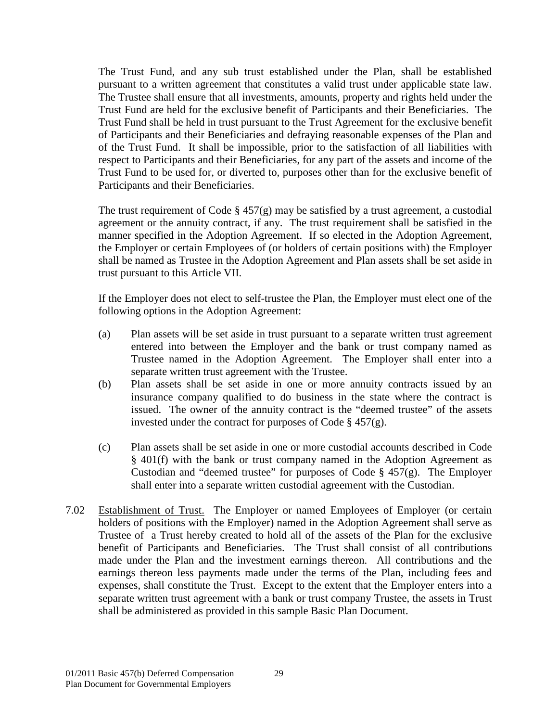The Trust Fund, and any sub trust established under the Plan, shall be established pursuant to a written agreement that constitutes a valid trust under applicable state law. The Trustee shall ensure that all investments, amounts, property and rights held under the Trust Fund are held for the exclusive benefit of Participants and their Beneficiaries. The Trust Fund shall be held in trust pursuant to the Trust Agreement for the exclusive benefit of Participants and their Beneficiaries and defraying reasonable expenses of the Plan and of the Trust Fund. It shall be impossible, prior to the satisfaction of all liabilities with respect to Participants and their Beneficiaries, for any part of the assets and income of the Trust Fund to be used for, or diverted to, purposes other than for the exclusive benefit of Participants and their Beneficiaries.

The trust requirement of Code  $\S 457(g)$  may be satisfied by a trust agreement, a custodial agreement or the annuity contract, if any. The trust requirement shall be satisfied in the manner specified in the Adoption Agreement. If so elected in the Adoption Agreement, the Employer or certain Employees of (or holders of certain positions with) the Employer shall be named as Trustee in the Adoption Agreement and Plan assets shall be set aside in trust pursuant to this Article VII.

If the Employer does not elect to self-trustee the Plan, the Employer must elect one of the following options in the Adoption Agreement:

- (a) Plan assets will be set aside in trust pursuant to a separate written trust agreement entered into between the Employer and the bank or trust company named as Trustee named in the Adoption Agreement. The Employer shall enter into a separate written trust agreement with the Trustee.
- (b) Plan assets shall be set aside in one or more annuity contracts issued by an insurance company qualified to do business in the state where the contract is issued. The owner of the annuity contract is the "deemed trustee" of the assets invested under the contract for purposes of Code § 457(g).
- (c) Plan assets shall be set aside in one or more custodial accounts described in Code § 401(f) with the bank or trust company named in the Adoption Agreement as Custodian and "deemed trustee" for purposes of Code  $\S$  457(g). The Employer shall enter into a separate written custodial agreement with the Custodian.
- <span id="page-33-0"></span>7.02 Establishment of Trust. The Employer or named Employees of Employer (or certain holders of positions with the Employer) named in the Adoption Agreement shall serve as Trustee of a Trust hereby created to hold all of the assets of the Plan for the exclusive benefit of Participants and Beneficiaries. The Trust shall consist of all contributions made under the Plan and the investment earnings thereon. All contributions and the earnings thereon less payments made under the terms of the Plan, including fees and expenses, shall constitute the Trust. Except to the extent that the Employer enters into a separate written trust agreement with a bank or trust company Trustee, the assets in Trust shall be administered as provided in this sample Basic Plan Document.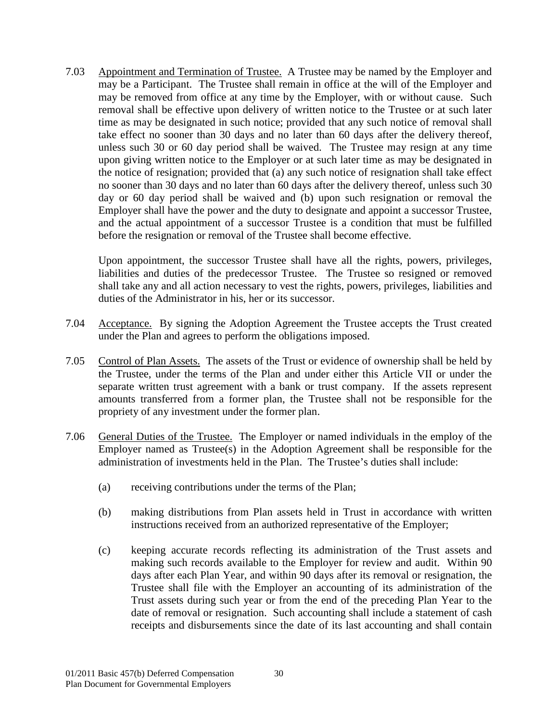<span id="page-34-0"></span>7.03 Appointment and Termination of Trustee. A Trustee may be named by the Employer and may be a Participant. The Trustee shall remain in office at the will of the Employer and may be removed from office at any time by the Employer, with or without cause. Such removal shall be effective upon delivery of written notice to the Trustee or at such later time as may be designated in such notice; provided that any such notice of removal shall take effect no sooner than 30 days and no later than 60 days after the delivery thereof, unless such 30 or 60 day period shall be waived. The Trustee may resign at any time upon giving written notice to the Employer or at such later time as may be designated in the notice of resignation; provided that (a) any such notice of resignation shall take effect no sooner than 30 days and no later than 60 days after the delivery thereof, unless such 30 day or 60 day period shall be waived and (b) upon such resignation or removal the Employer shall have the power and the duty to designate and appoint a successor Trustee, and the actual appointment of a successor Trustee is a condition that must be fulfilled before the resignation or removal of the Trustee shall become effective.

Upon appointment, the successor Trustee shall have all the rights, powers, privileges, liabilities and duties of the predecessor Trustee. The Trustee so resigned or removed shall take any and all action necessary to vest the rights, powers, privileges, liabilities and duties of the Administrator in his, her or its successor.

- <span id="page-34-1"></span>7.04 Acceptance. By signing the Adoption Agreement the Trustee accepts the Trust created under the Plan and agrees to perform the obligations imposed.
- <span id="page-34-2"></span>7.05 Control of Plan Assets. The assets of the Trust or evidence of ownership shall be held by the Trustee, under the terms of the Plan and under either this Article VII or under the separate written trust agreement with a bank or trust company. If the assets represent amounts transferred from a former plan, the Trustee shall not be responsible for the propriety of any investment under the former plan.
- <span id="page-34-3"></span>7.06 General Duties of the Trustee. The Employer or named individuals in the employ of the Employer named as Trustee(s) in the Adoption Agreement shall be responsible for the administration of investments held in the Plan. The Trustee's duties shall include:
	- (a) receiving contributions under the terms of the Plan;
	- (b) making distributions from Plan assets held in Trust in accordance with written instructions received from an authorized representative of the Employer;
	- (c) keeping accurate records reflecting its administration of the Trust assets and making such records available to the Employer for review and audit. Within 90 days after each Plan Year, and within 90 days after its removal or resignation, the Trustee shall file with the Employer an accounting of its administration of the Trust assets during such year or from the end of the preceding Plan Year to the date of removal or resignation. Such accounting shall include a statement of cash receipts and disbursements since the date of its last accounting and shall contain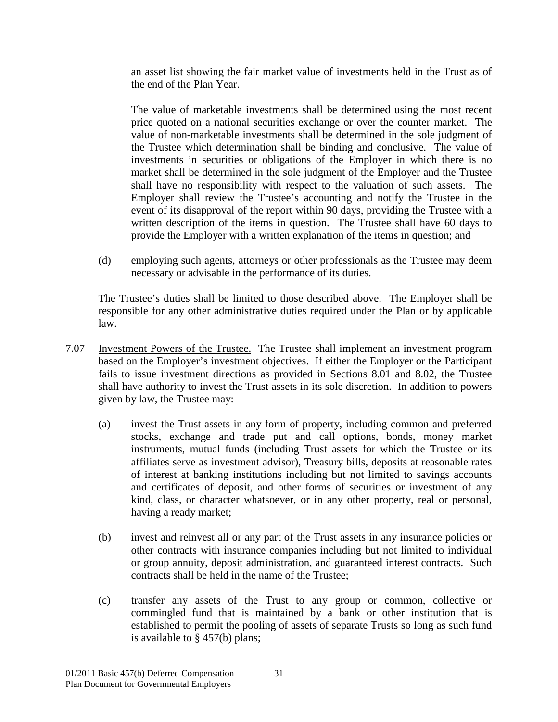an asset list showing the fair market value of investments held in the Trust as of the end of the Plan Year.

The value of marketable investments shall be determined using the most recent price quoted on a national securities exchange or over the counter market. The value of non-marketable investments shall be determined in the sole judgment of the Trustee which determination shall be binding and conclusive. The value of investments in securities or obligations of the Employer in which there is no market shall be determined in the sole judgment of the Employer and the Trustee shall have no responsibility with respect to the valuation of such assets. The Employer shall review the Trustee's accounting and notify the Trustee in the event of its disapproval of the report within 90 days, providing the Trustee with a written description of the items in question. The Trustee shall have 60 days to provide the Employer with a written explanation of the items in question; and

(d) employing such agents, attorneys or other professionals as the Trustee may deem necessary or advisable in the performance of its duties.

The Trustee's duties shall be limited to those described above. The Employer shall be responsible for any other administrative duties required under the Plan or by applicable law.

- <span id="page-35-0"></span>7.07 Investment Powers of the Trustee. The Trustee shall implement an investment program based on the Employer's investment objectives. If either the Employer or the Participant fails to issue investment directions as provided in Sections 8.01 and 8.02, the Trustee shall have authority to invest the Trust assets in its sole discretion. In addition to powers given by law, the Trustee may:
	- (a) invest the Trust assets in any form of property, including common and preferred stocks, exchange and trade put and call options, bonds, money market instruments, mutual funds (including Trust assets for which the Trustee or its affiliates serve as investment advisor), Treasury bills, deposits at reasonable rates of interest at banking institutions including but not limited to savings accounts and certificates of deposit, and other forms of securities or investment of any kind, class, or character whatsoever, or in any other property, real or personal, having a ready market;
	- (b) invest and reinvest all or any part of the Trust assets in any insurance policies or other contracts with insurance companies including but not limited to individual or group annuity, deposit administration, and guaranteed interest contracts. Such contracts shall be held in the name of the Trustee;
	- (c) transfer any assets of the Trust to any group or common, collective or commingled fund that is maintained by a bank or other institution that is established to permit the pooling of assets of separate Trusts so long as such fund is available to § 457(b) plans;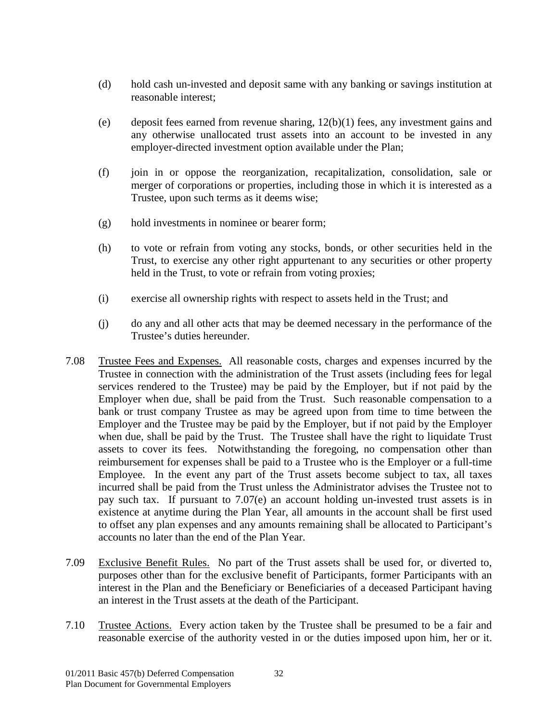- (d) hold cash un-invested and deposit same with any banking or savings institution at reasonable interest;
- (e) deposit fees earned from revenue sharing, 12(b)(1) fees, any investment gains and any otherwise unallocated trust assets into an account to be invested in any employer-directed investment option available under the Plan;
- (f) join in or oppose the reorganization, recapitalization, consolidation, sale or merger of corporations or properties, including those in which it is interested as a Trustee, upon such terms as it deems wise;
- (g) hold investments in nominee or bearer form;
- (h) to vote or refrain from voting any stocks, bonds, or other securities held in the Trust, to exercise any other right appurtenant to any securities or other property held in the Trust, to vote or refrain from voting proxies;
- (i) exercise all ownership rights with respect to assets held in the Trust; and
- (j) do any and all other acts that may be deemed necessary in the performance of the Trustee's duties hereunder.
- <span id="page-36-0"></span>7.08 Trustee Fees and Expenses. All reasonable costs, charges and expenses incurred by the Trustee in connection with the administration of the Trust assets (including fees for legal services rendered to the Trustee) may be paid by the Employer, but if not paid by the Employer when due, shall be paid from the Trust. Such reasonable compensation to a bank or trust company Trustee as may be agreed upon from time to time between the Employer and the Trustee may be paid by the Employer, but if not paid by the Employer when due, shall be paid by the Trust. The Trustee shall have the right to liquidate Trust assets to cover its fees. Notwithstanding the foregoing, no compensation other than reimbursement for expenses shall be paid to a Trustee who is the Employer or a full-time Employee. In the event any part of the Trust assets become subject to tax, all taxes incurred shall be paid from the Trust unless the Administrator advises the Trustee not to pay such tax. If pursuant to 7.07(e) an account holding un-invested trust assets is in existence at anytime during the Plan Year, all amounts in the account shall be first used to offset any plan expenses and any amounts remaining shall be allocated to Participant's accounts no later than the end of the Plan Year.
- <span id="page-36-1"></span>7.09 Exclusive Benefit Rules. No part of the Trust assets shall be used for, or diverted to, purposes other than for the exclusive benefit of Participants, former Participants with an interest in the Plan and the Beneficiary or Beneficiaries of a deceased Participant having an interest in the Trust assets at the death of the Participant.
- <span id="page-36-2"></span>7.10 Trustee Actions. Every action taken by the Trustee shall be presumed to be a fair and reasonable exercise of the authority vested in or the duties imposed upon him, her or it.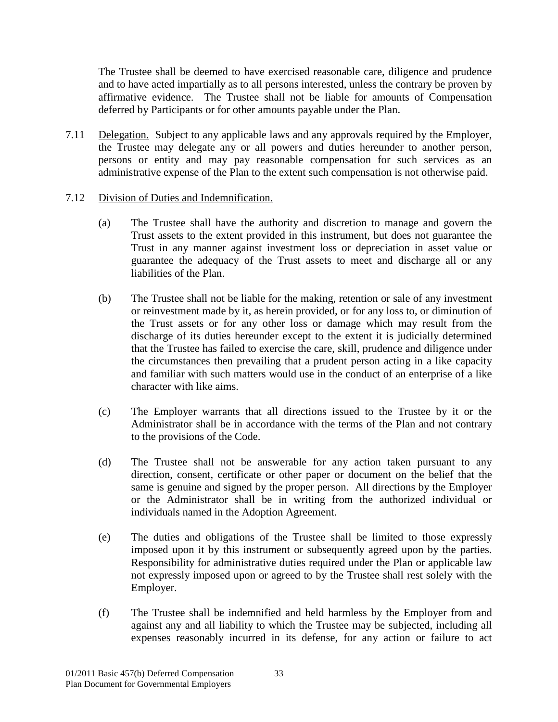The Trustee shall be deemed to have exercised reasonable care, diligence and prudence and to have acted impartially as to all persons interested, unless the contrary be proven by affirmative evidence. The Trustee shall not be liable for amounts of Compensation deferred by Participants or for other amounts payable under the Plan.

- <span id="page-37-0"></span>7.11 Delegation. Subject to any applicable laws and any approvals required by the Employer, the Trustee may delegate any or all powers and duties hereunder to another person, persons or entity and may pay reasonable compensation for such services as an administrative expense of the Plan to the extent such compensation is not otherwise paid.
- <span id="page-37-1"></span>7.12 Division of Duties and Indemnification.
	- (a) The Trustee shall have the authority and discretion to manage and govern the Trust assets to the extent provided in this instrument, but does not guarantee the Trust in any manner against investment loss or depreciation in asset value or guarantee the adequacy of the Trust assets to meet and discharge all or any liabilities of the Plan.
	- (b) The Trustee shall not be liable for the making, retention or sale of any investment or reinvestment made by it, as herein provided, or for any loss to, or diminution of the Trust assets or for any other loss or damage which may result from the discharge of its duties hereunder except to the extent it is judicially determined that the Trustee has failed to exercise the care, skill, prudence and diligence under the circumstances then prevailing that a prudent person acting in a like capacity and familiar with such matters would use in the conduct of an enterprise of a like character with like aims.
	- (c) The Employer warrants that all directions issued to the Trustee by it or the Administrator shall be in accordance with the terms of the Plan and not contrary to the provisions of the Code.
	- (d) The Trustee shall not be answerable for any action taken pursuant to any direction, consent, certificate or other paper or document on the belief that the same is genuine and signed by the proper person. All directions by the Employer or the Administrator shall be in writing from the authorized individual or individuals named in the Adoption Agreement.
	- (e) The duties and obligations of the Trustee shall be limited to those expressly imposed upon it by this instrument or subsequently agreed upon by the parties. Responsibility for administrative duties required under the Plan or applicable law not expressly imposed upon or agreed to by the Trustee shall rest solely with the Employer.
	- (f) The Trustee shall be indemnified and held harmless by the Employer from and against any and all liability to which the Trustee may be subjected, including all expenses reasonably incurred in its defense, for any action or failure to act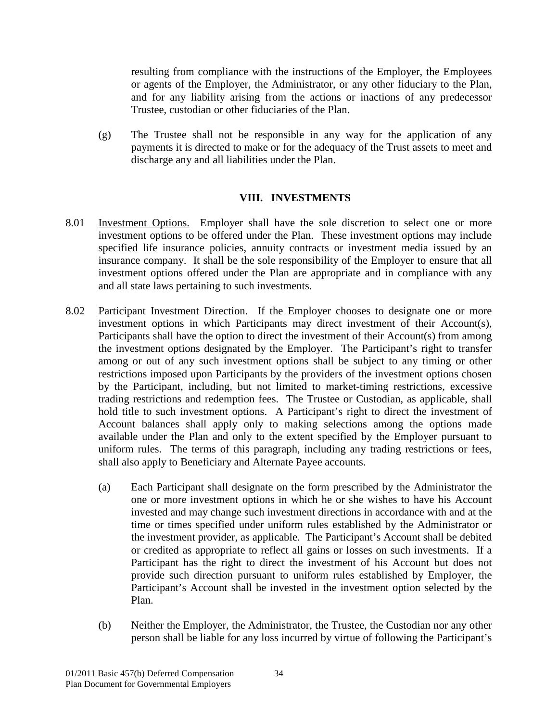resulting from compliance with the instructions of the Employer, the Employees or agents of the Employer, the Administrator, or any other fiduciary to the Plan, and for any liability arising from the actions or inactions of any predecessor Trustee, custodian or other fiduciaries of the Plan.

(g) The Trustee shall not be responsible in any way for the application of any payments it is directed to make or for the adequacy of the Trust assets to meet and discharge any and all liabilities under the Plan.

## **VIII. INVESTMENTS**

- <span id="page-38-1"></span><span id="page-38-0"></span>8.01 Investment Options. Employer shall have the sole discretion to select one or more investment options to be offered under the Plan. These investment options may include specified life insurance policies, annuity contracts or investment media issued by an insurance company. It shall be the sole responsibility of the Employer to ensure that all investment options offered under the Plan are appropriate and in compliance with any and all state laws pertaining to such investments.
- <span id="page-38-2"></span>8.02 Participant Investment Direction. If the Employer chooses to designate one or more investment options in which Participants may direct investment of their Account(s), Participants shall have the option to direct the investment of their Account(s) from among the investment options designated by the Employer. The Participant's right to transfer among or out of any such investment options shall be subject to any timing or other restrictions imposed upon Participants by the providers of the investment options chosen by the Participant, including, but not limited to market-timing restrictions, excessive trading restrictions and redemption fees. The Trustee or Custodian, as applicable, shall hold title to such investment options. A Participant's right to direct the investment of Account balances shall apply only to making selections among the options made available under the Plan and only to the extent specified by the Employer pursuant to uniform rules. The terms of this paragraph, including any trading restrictions or fees, shall also apply to Beneficiary and Alternate Payee accounts.
	- (a) Each Participant shall designate on the form prescribed by the Administrator the one or more investment options in which he or she wishes to have his Account invested and may change such investment directions in accordance with and at the time or times specified under uniform rules established by the Administrator or the investment provider, as applicable. The Participant's Account shall be debited or credited as appropriate to reflect all gains or losses on such investments. If a Participant has the right to direct the investment of his Account but does not provide such direction pursuant to uniform rules established by Employer, the Participant's Account shall be invested in the investment option selected by the Plan.
	- (b) Neither the Employer, the Administrator, the Trustee, the Custodian nor any other person shall be liable for any loss incurred by virtue of following the Participant's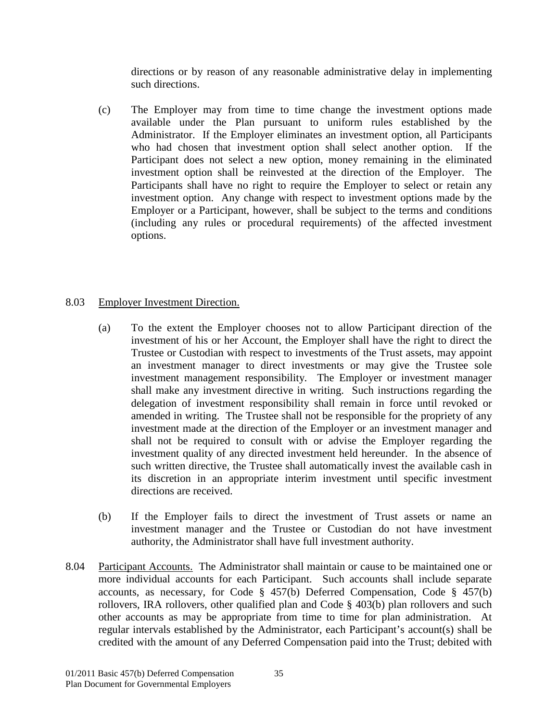directions or by reason of any reasonable administrative delay in implementing such directions.

(c) The Employer may from time to time change the investment options made available under the Plan pursuant to uniform rules established by the Administrator. If the Employer eliminates an investment option, all Participants who had chosen that investment option shall select another option. If the Participant does not select a new option, money remaining in the eliminated investment option shall be reinvested at the direction of the Employer. The Participants shall have no right to require the Employer to select or retain any investment option. Any change with respect to investment options made by the Employer or a Participant, however, shall be subject to the terms and conditions (including any rules or procedural requirements) of the affected investment options.

## <span id="page-39-0"></span>8.03 Employer Investment Direction.

- (a) To the extent the Employer chooses not to allow Participant direction of the investment of his or her Account, the Employer shall have the right to direct the Trustee or Custodian with respect to investments of the Trust assets, may appoint an investment manager to direct investments or may give the Trustee sole investment management responsibility. The Employer or investment manager shall make any investment directive in writing. Such instructions regarding the delegation of investment responsibility shall remain in force until revoked or amended in writing. The Trustee shall not be responsible for the propriety of any investment made at the direction of the Employer or an investment manager and shall not be required to consult with or advise the Employer regarding the investment quality of any directed investment held hereunder. In the absence of such written directive, the Trustee shall automatically invest the available cash in its discretion in an appropriate interim investment until specific investment directions are received.
- (b) If the Employer fails to direct the investment of Trust assets or name an investment manager and the Trustee or Custodian do not have investment authority, the Administrator shall have full investment authority.
- <span id="page-39-1"></span>8.04 Participant Accounts. The Administrator shall maintain or cause to be maintained one or more individual accounts for each Participant. Such accounts shall include separate accounts, as necessary, for Code § 457(b) Deferred Compensation, Code § 457(b) rollovers, IRA rollovers, other qualified plan and Code § 403(b) plan rollovers and such other accounts as may be appropriate from time to time for plan administration. At regular intervals established by the Administrator, each Participant's account(s) shall be credited with the amount of any Deferred Compensation paid into the Trust; debited with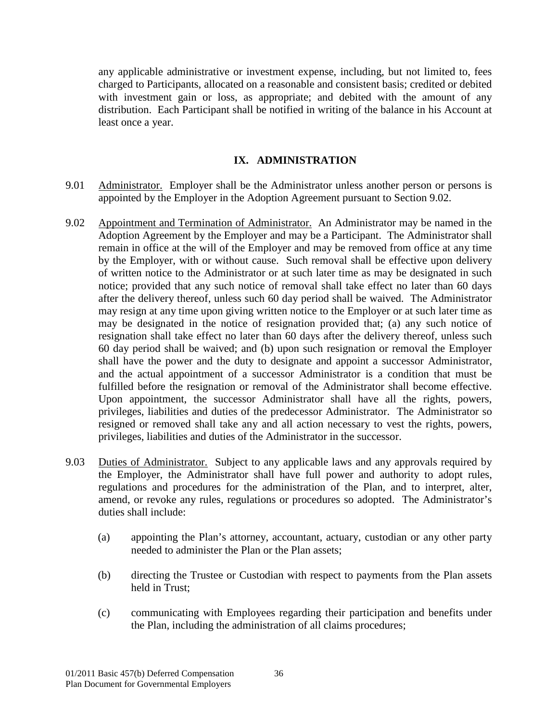any applicable administrative or investment expense, including, but not limited to, fees charged to Participants, allocated on a reasonable and consistent basis; credited or debited with investment gain or loss, as appropriate; and debited with the amount of any distribution. Each Participant shall be notified in writing of the balance in his Account at least once a year.

## **IX. ADMINISTRATION**

- <span id="page-40-1"></span><span id="page-40-0"></span>9.01 Administrator. Employer shall be the Administrator unless another person or persons is appointed by the Employer in the Adoption Agreement pursuant to Section 9.02.
- <span id="page-40-2"></span>9.02 Appointment and Termination of Administrator. An Administrator may be named in the Adoption Agreement by the Employer and may be a Participant. The Administrator shall remain in office at the will of the Employer and may be removed from office at any time by the Employer, with or without cause. Such removal shall be effective upon delivery of written notice to the Administrator or at such later time as may be designated in such notice; provided that any such notice of removal shall take effect no later than 60 days after the delivery thereof, unless such 60 day period shall be waived. The Administrator may resign at any time upon giving written notice to the Employer or at such later time as may be designated in the notice of resignation provided that; (a) any such notice of resignation shall take effect no later than 60 days after the delivery thereof, unless such 60 day period shall be waived; and (b) upon such resignation or removal the Employer shall have the power and the duty to designate and appoint a successor Administrator, and the actual appointment of a successor Administrator is a condition that must be fulfilled before the resignation or removal of the Administrator shall become effective. Upon appointment, the successor Administrator shall have all the rights, powers, privileges, liabilities and duties of the predecessor Administrator. The Administrator so resigned or removed shall take any and all action necessary to vest the rights, powers, privileges, liabilities and duties of the Administrator in the successor.
- <span id="page-40-3"></span>9.03 Duties of Administrator. Subject to any applicable laws and any approvals required by the Employer, the Administrator shall have full power and authority to adopt rules, regulations and procedures for the administration of the Plan, and to interpret, alter, amend, or revoke any rules, regulations or procedures so adopted. The Administrator's duties shall include:
	- (a) appointing the Plan's attorney, accountant, actuary, custodian or any other party needed to administer the Plan or the Plan assets;
	- (b) directing the Trustee or Custodian with respect to payments from the Plan assets held in Trust;
	- (c) communicating with Employees regarding their participation and benefits under the Plan, including the administration of all claims procedures;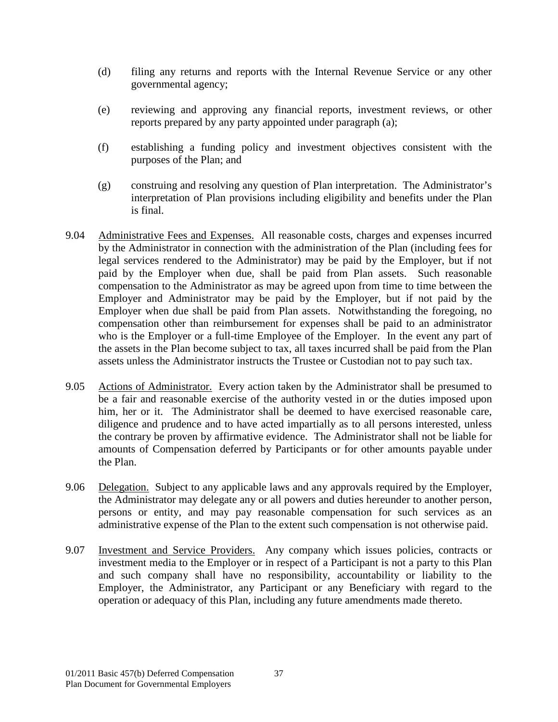- (d) filing any returns and reports with the Internal Revenue Service or any other governmental agency;
- (e) reviewing and approving any financial reports, investment reviews, or other reports prepared by any party appointed under paragraph (a);
- (f) establishing a funding policy and investment objectives consistent with the purposes of the Plan; and
- (g) construing and resolving any question of Plan interpretation. The Administrator's interpretation of Plan provisions including eligibility and benefits under the Plan is final.
- <span id="page-41-0"></span>9.04 Administrative Fees and Expenses. All reasonable costs, charges and expenses incurred by the Administrator in connection with the administration of the Plan (including fees for legal services rendered to the Administrator) may be paid by the Employer, but if not paid by the Employer when due, shall be paid from Plan assets. Such reasonable compensation to the Administrator as may be agreed upon from time to time between the Employer and Administrator may be paid by the Employer, but if not paid by the Employer when due shall be paid from Plan assets. Notwithstanding the foregoing, no compensation other than reimbursement for expenses shall be paid to an administrator who is the Employer or a full-time Employee of the Employer. In the event any part of the assets in the Plan become subject to tax, all taxes incurred shall be paid from the Plan assets unless the Administrator instructs the Trustee or Custodian not to pay such tax.
- <span id="page-41-1"></span>9.05 Actions of Administrator. Every action taken by the Administrator shall be presumed to be a fair and reasonable exercise of the authority vested in or the duties imposed upon him, her or it. The Administrator shall be deemed to have exercised reasonable care, diligence and prudence and to have acted impartially as to all persons interested, unless the contrary be proven by affirmative evidence. The Administrator shall not be liable for amounts of Compensation deferred by Participants or for other amounts payable under the Plan.
- <span id="page-41-2"></span>9.06 Delegation. Subject to any applicable laws and any approvals required by the Employer, the Administrator may delegate any or all powers and duties hereunder to another person, persons or entity, and may pay reasonable compensation for such services as an administrative expense of the Plan to the extent such compensation is not otherwise paid.
- <span id="page-41-3"></span>9.07 Investment and Service Providers. Any company which issues policies, contracts or investment media to the Employer or in respect of a Participant is not a party to this Plan and such company shall have no responsibility, accountability or liability to the Employer, the Administrator, any Participant or any Beneficiary with regard to the operation or adequacy of this Plan, including any future amendments made thereto.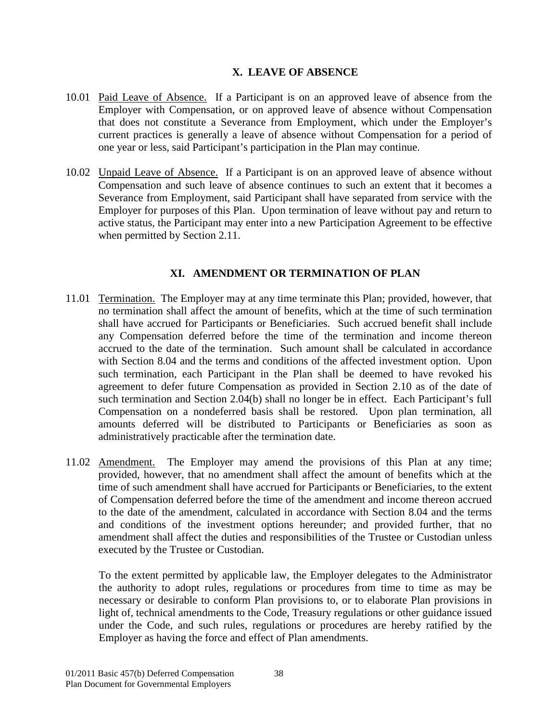## **X. LEAVE OF ABSENCE**

- <span id="page-42-1"></span><span id="page-42-0"></span>10.01 Paid Leave of Absence. If a Participant is on an approved leave of absence from the Employer with Compensation, or on approved leave of absence without Compensation that does not constitute a Severance from Employment, which under the Employer's current practices is generally a leave of absence without Compensation for a period of one year or less, said Participant's participation in the Plan may continue.
- <span id="page-42-2"></span>10.02 Unpaid Leave of Absence. If a Participant is on an approved leave of absence without Compensation and such leave of absence continues to such an extent that it becomes a Severance from Employment, said Participant shall have separated from service with the Employer for purposes of this Plan. Upon termination of leave without pay and return to active status, the Participant may enter into a new Participation Agreement to be effective when permitted by Section 2.11.

## **XI. AMENDMENT OR TERMINATION OF PLAN**

- <span id="page-42-4"></span><span id="page-42-3"></span>11.01 Termination. The Employer may at any time terminate this Plan; provided, however, that no termination shall affect the amount of benefits, which at the time of such termination shall have accrued for Participants or Beneficiaries. Such accrued benefit shall include any Compensation deferred before the time of the termination and income thereon accrued to the date of the termination. Such amount shall be calculated in accordance with Section 8.04 and the terms and conditions of the affected investment option. Upon such termination, each Participant in the Plan shall be deemed to have revoked his agreement to defer future Compensation as provided in Section 2.10 as of the date of such termination and Section 2.04(b) shall no longer be in effect. Each Participant's full Compensation on a nondeferred basis shall be restored. Upon plan termination, all amounts deferred will be distributed to Participants or Beneficiaries as soon as administratively practicable after the termination date.
- <span id="page-42-5"></span>11.02 Amendment. The Employer may amend the provisions of this Plan at any time; provided, however, that no amendment shall affect the amount of benefits which at the time of such amendment shall have accrued for Participants or Beneficiaries, to the extent of Compensation deferred before the time of the amendment and income thereon accrued to the date of the amendment, calculated in accordance with Section 8.04 and the terms and conditions of the investment options hereunder; and provided further, that no amendment shall affect the duties and responsibilities of the Trustee or Custodian unless executed by the Trustee or Custodian.

To the extent permitted by applicable law, the Employer delegates to the Administrator the authority to adopt rules, regulations or procedures from time to time as may be necessary or desirable to conform Plan provisions to, or to elaborate Plan provisions in light of, technical amendments to the Code, Treasury regulations or other guidance issued under the Code, and such rules, regulations or procedures are hereby ratified by the Employer as having the force and effect of Plan amendments.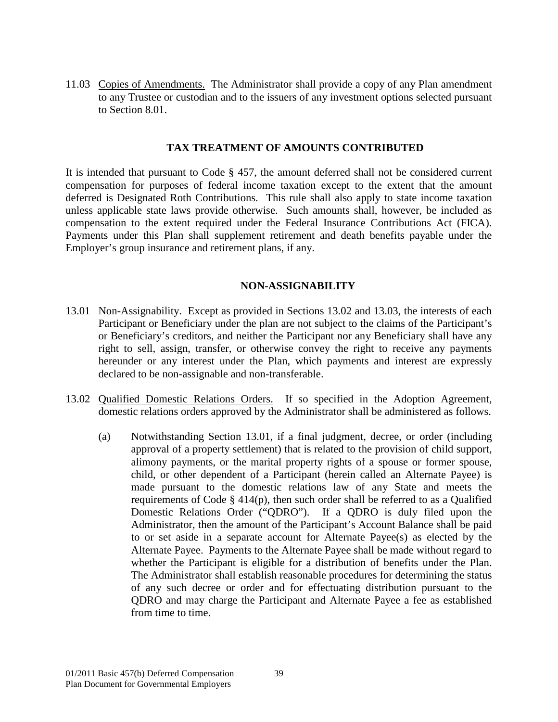<span id="page-43-0"></span>11.03 Copies of Amendments. The Administrator shall provide a copy of any Plan amendment to any Trustee or custodian and to the issuers of any investment options selected pursuant to Section 8.01.

#### **TAX TREATMENT OF AMOUNTS CONTRIBUTED**

<span id="page-43-1"></span>It is intended that pursuant to Code § 457, the amount deferred shall not be considered current compensation for purposes of federal income taxation except to the extent that the amount deferred is Designated Roth Contributions. This rule shall also apply to state income taxation unless applicable state laws provide otherwise. Such amounts shall, however, be included as compensation to the extent required under the Federal Insurance Contributions Act (FICA). Payments under this Plan shall supplement retirement and death benefits payable under the Employer's group insurance and retirement plans, if any.

#### <span id="page-43-2"></span> **NON-ASSIGNABILITY**

- <span id="page-43-3"></span>13.01 Non-Assignability. Except as provided in Sections 13.02 and 13.03, the interests of each Participant or Beneficiary under the plan are not subject to the claims of the Participant's or Beneficiary's creditors, and neither the Participant nor any Beneficiary shall have any right to sell, assign, transfer, or otherwise convey the right to receive any payments hereunder or any interest under the Plan, which payments and interest are expressly declared to be non-assignable and non-transferable.
- <span id="page-43-4"></span>13.02 Qualified Domestic Relations Orders. If so specified in the Adoption Agreement, domestic relations orders approved by the Administrator shall be administered as follows.
	- (a) Notwithstanding Section 13.01, if a final judgment, decree, or order (including approval of a property settlement) that is related to the provision of child support, alimony payments, or the marital property rights of a spouse or former spouse, child, or other dependent of a Participant (herein called an Alternate Payee) is made pursuant to the domestic relations law of any State and meets the requirements of Code § 414(p), then such order shall be referred to as a Qualified Domestic Relations Order ("QDRO"). If a QDRO is duly filed upon the Administrator, then the amount of the Participant's Account Balance shall be paid to or set aside in a separate account for Alternate Payee(s) as elected by the Alternate Payee. Payments to the Alternate Payee shall be made without regard to whether the Participant is eligible for a distribution of benefits under the Plan. The Administrator shall establish reasonable procedures for determining the status of any such decree or order and for effectuating distribution pursuant to the QDRO and may charge the Participant and Alternate Payee a fee as established from time to time.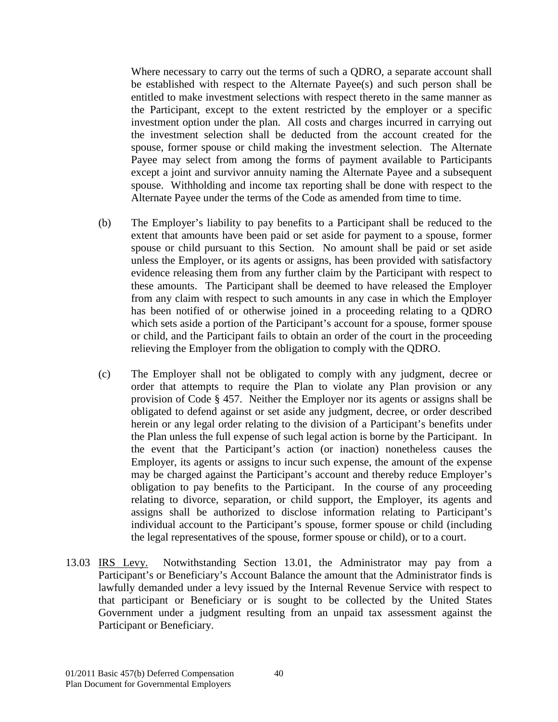Where necessary to carry out the terms of such a QDRO, a separate account shall be established with respect to the Alternate Payee(s) and such person shall be entitled to make investment selections with respect thereto in the same manner as the Participant, except to the extent restricted by the employer or a specific investment option under the plan. All costs and charges incurred in carrying out the investment selection shall be deducted from the account created for the spouse, former spouse or child making the investment selection. The Alternate Payee may select from among the forms of payment available to Participants except a joint and survivor annuity naming the Alternate Payee and a subsequent spouse. Withholding and income tax reporting shall be done with respect to the Alternate Payee under the terms of the Code as amended from time to time.

- (b) The Employer's liability to pay benefits to a Participant shall be reduced to the extent that amounts have been paid or set aside for payment to a spouse, former spouse or child pursuant to this Section. No amount shall be paid or set aside unless the Employer, or its agents or assigns, has been provided with satisfactory evidence releasing them from any further claim by the Participant with respect to these amounts. The Participant shall be deemed to have released the Employer from any claim with respect to such amounts in any case in which the Employer has been notified of or otherwise joined in a proceeding relating to a QDRO which sets aside a portion of the Participant's account for a spouse, former spouse or child, and the Participant fails to obtain an order of the court in the proceeding relieving the Employer from the obligation to comply with the QDRO.
- (c) The Employer shall not be obligated to comply with any judgment, decree or order that attempts to require the Plan to violate any Plan provision or any provision of Code § 457. Neither the Employer nor its agents or assigns shall be obligated to defend against or set aside any judgment, decree, or order described herein or any legal order relating to the division of a Participant's benefits under the Plan unless the full expense of such legal action is borne by the Participant. In the event that the Participant's action (or inaction) nonetheless causes the Employer, its agents or assigns to incur such expense, the amount of the expense may be charged against the Participant's account and thereby reduce Employer's obligation to pay benefits to the Participant. In the course of any proceeding relating to divorce, separation, or child support, the Employer, its agents and assigns shall be authorized to disclose information relating to Participant's individual account to the Participant's spouse, former spouse or child (including the legal representatives of the spouse, former spouse or child), or to a court.
- <span id="page-44-0"></span>13.03 IRS Levy. Notwithstanding Section 13.01, the Administrator may pay from a Participant's or Beneficiary's Account Balance the amount that the Administrator finds is lawfully demanded under a levy issued by the Internal Revenue Service with respect to that participant or Beneficiary or is sought to be collected by the United States Government under a judgment resulting from an unpaid tax assessment against the Participant or Beneficiary.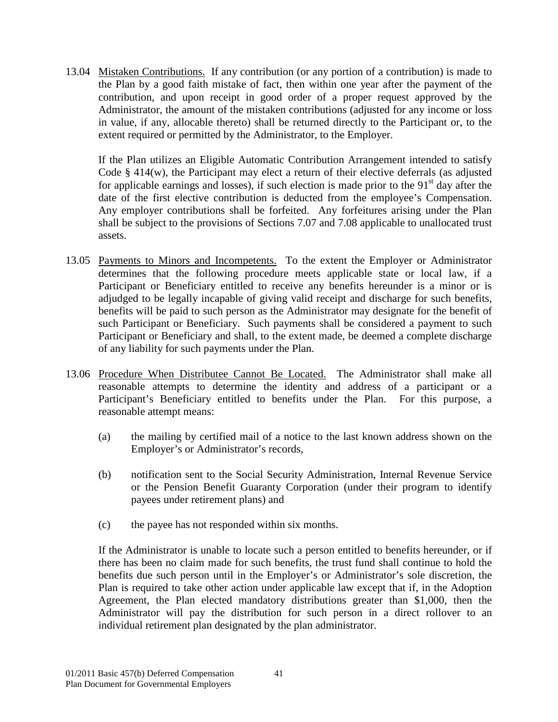<span id="page-45-0"></span>13.04 Mistaken Contributions. If any contribution (or any portion of a contribution) is made to the Plan by a good faith mistake of fact, then within one year after the payment of the contribution, and upon receipt in good order of a proper request approved by the Administrator, the amount of the mistaken contributions (adjusted for any income or loss in value, if any, allocable thereto) shall be returned directly to the Participant or, to the extent required or permitted by the Administrator, to the Employer.

If the Plan utilizes an Eligible Automatic Contribution Arrangement intended to satisfy Code § 414(w), the Participant may elect a return of their elective deferrals (as adjusted for applicable earnings and losses), if such election is made prior to the  $91<sup>st</sup>$  day after the date of the first elective contribution is deducted from the employee's Compensation. Any employer contributions shall be forfeited. Any forfeitures arising under the Plan shall be subject to the provisions of Sections 7.07 and 7.08 applicable to unallocated trust assets.

- <span id="page-45-1"></span>13.05 Payments to Minors and Incompetents. To the extent the Employer or Administrator determines that the following procedure meets applicable state or local law, if a Participant or Beneficiary entitled to receive any benefits hereunder is a minor or is adjudged to be legally incapable of giving valid receipt and discharge for such benefits, benefits will be paid to such person as the Administrator may designate for the benefit of such Participant or Beneficiary. Such payments shall be considered a payment to such Participant or Beneficiary and shall, to the extent made, be deemed a complete discharge of any liability for such payments under the Plan.
- <span id="page-45-2"></span>13.06 Procedure When Distributee Cannot Be Located. The Administrator shall make all reasonable attempts to determine the identity and address of a participant or a Participant's Beneficiary entitled to benefits under the Plan. For this purpose, a reasonable attempt means:
	- (a) the mailing by certified mail of a notice to the last known address shown on the Employer's or Administrator's records,
	- (b) notification sent to the Social Security Administration, Internal Revenue Service or the Pension Benefit Guaranty Corporation (under their program to identify payees under retirement plans) and
	- (c) the payee has not responded within six months.

If the Administrator is unable to locate such a person entitled to benefits hereunder, or if there has been no claim made for such benefits, the trust fund shall continue to hold the benefits due such person until in the Employer's or Administrator's sole discretion, the Plan is required to take other action under applicable law except that if, in the Adoption Agreement, the Plan elected mandatory distributions greater than \$1,000, then the Administrator will pay the distribution for such person in a direct rollover to an individual retirement plan designated by the plan administrator.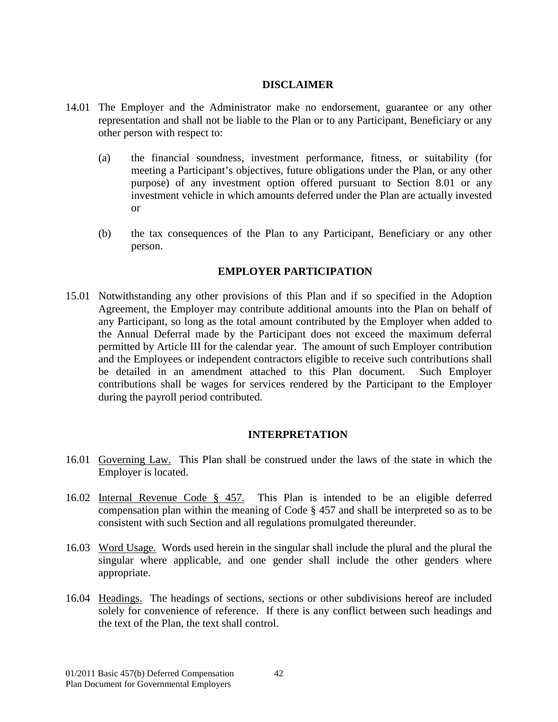#### <span id="page-46-0"></span> **DISCLAIMER**

- 14.01 The Employer and the Administrator make no endorsement, guarantee or any other representation and shall not be liable to the Plan or to any Participant, Beneficiary or any other person with respect to:
	- (a) the financial soundness, investment performance, fitness, or suitability (for meeting a Participant's objectives, future obligations under the Plan, or any other purpose) of any investment option offered pursuant to Section 8.01 or any investment vehicle in which amounts deferred under the Plan are actually invested or
	- (b) the tax consequences of the Plan to any Participant, Beneficiary or any other person.

## **EMPLOYER PARTICIPATION**

<span id="page-46-1"></span>15.01 Notwithstanding any other provisions of this Plan and if so specified in the Adoption Agreement, the Employer may contribute additional amounts into the Plan on behalf of any Participant, so long as the total amount contributed by the Employer when added to the Annual Deferral made by the Participant does not exceed the maximum deferral permitted by Article III for the calendar year. The amount of such Employer contribution and the Employees or independent contractors eligible to receive such contributions shall be detailed in an amendment attached to this Plan document. Such Employer contributions shall be wages for services rendered by the Participant to the Employer during the payroll period contributed.

## <span id="page-46-2"></span> **INTERPRETATION**

- <span id="page-46-3"></span>16.01 Governing Law. This Plan shall be construed under the laws of the state in which the Employer is located.
- <span id="page-46-4"></span>16.02 Internal Revenue Code § 457. This Plan is intended to be an eligible deferred compensation plan within the meaning of Code § 457 and shall be interpreted so as to be consistent with such Section and all regulations promulgated thereunder.
- <span id="page-46-5"></span>16.03 Word Usage. Words used herein in the singular shall include the plural and the plural the singular where applicable, and one gender shall include the other genders where appropriate.
- <span id="page-46-6"></span>16.04 Headings. The headings of sections, sections or other subdivisions hereof are included solely for convenience of reference. If there is any conflict between such headings and the text of the Plan, the text shall control.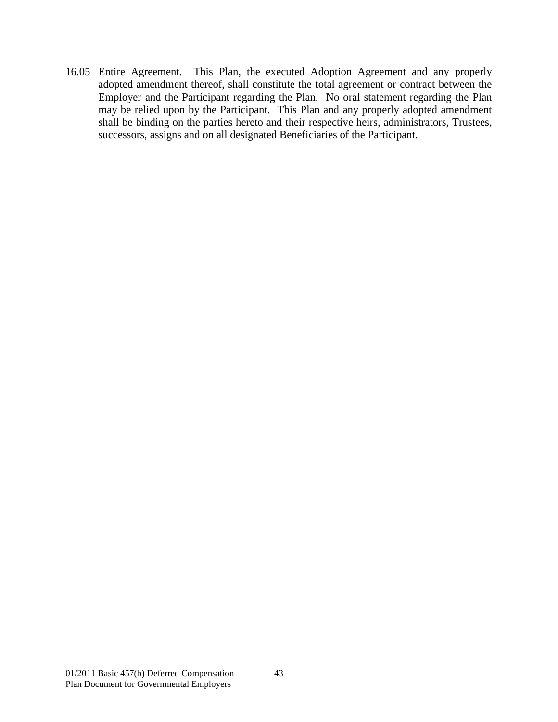<span id="page-47-0"></span>16.05 Entire Agreement. This Plan, the executed Adoption Agreement and any properly adopted amendment thereof, shall constitute the total agreement or contract between the Employer and the Participant regarding the Plan. No oral statement regarding the Plan may be relied upon by the Participant. This Plan and any properly adopted amendment shall be binding on the parties hereto and their respective heirs, administrators, Trustees, successors, assigns and on all designated Beneficiaries of the Participant.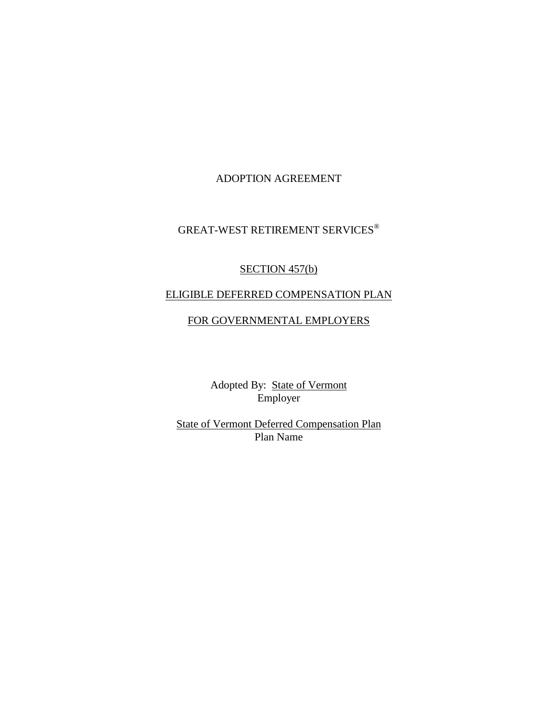### ADOPTION AGREEMENT

# GREAT-WEST RETIREMENT SERVICES®

# SECTION 457(b)

# ELIGIBLE DEFERRED COMPENSATION PLAN

#### FOR GOVERNMENTAL EMPLOYERS

Adopted By: State of Vermont Employer

State of Vermont Deferred Compensation Plan Plan Name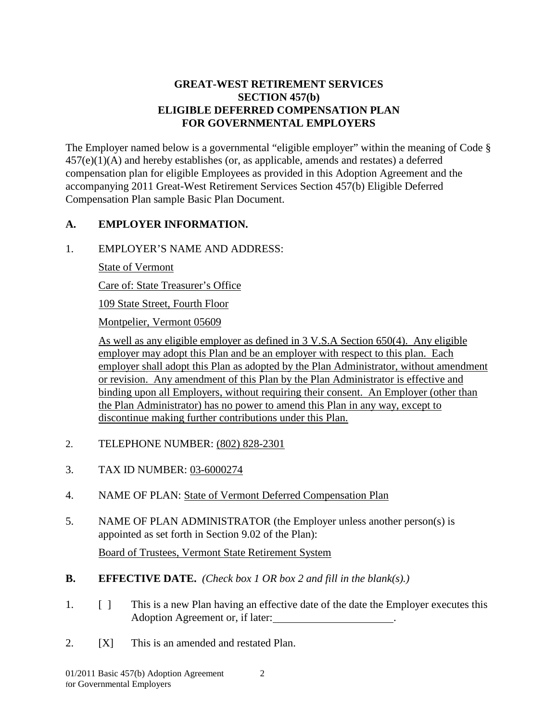## **GREAT-WEST RETIREMENT SERVICES SECTION 457(b) ELIGIBLE DEFERRED COMPENSATION PLAN FOR GOVERNMENTAL EMPLOYERS**

The Employer named below is a governmental "eligible employer" within the meaning of Code § 457(e)(1)(A) and hereby establishes (or, as applicable, amends and restates) a deferred compensation plan for eligible Employees as provided in this Adoption Agreement and the accompanying 2011 Great-West Retirement Services Section 457(b) Eligible Deferred Compensation Plan sample Basic Plan Document.

# **A. EMPLOYER INFORMATION.**

1. EMPLOYER'S NAME AND ADDRESS:

State of Vermont

Care of: State Treasurer's Office

109 State Street, Fourth Floor

Montpelier, Vermont 05609

As well as any eligible employer as defined in 3 V.S.A Section 650(4). Any eligible employer may adopt this Plan and be an employer with respect to this plan. Each employer shall adopt this Plan as adopted by the Plan Administrator, without amendment or revision. Any amendment of this Plan by the Plan Administrator is effective and binding upon all Employers, without requiring their consent. An Employer (other than the Plan Administrator) has no power to amend this Plan in any way, except to discontinue making further contributions under this Plan.

- 2. TELEPHONE NUMBER: (802) 828-2301
- 3. TAX ID NUMBER: 03-6000274
- 4. NAME OF PLAN: State of Vermont Deferred Compensation Plan
- 5. NAME OF PLAN ADMINISTRATOR (the Employer unless another person(s) is appointed as set forth in Section 9.02 of the Plan):

Board of Trustees, Vermont State Retirement System

- **B. EFFECTIVE DATE.** *(Check box 1 OR box 2 and fill in the blank(s).)*
- 1. [ ] This is a new Plan having an effective date of the date the Employer executes this Adoption Agreement or, if later:
- 2. [X] This is an amended and restated Plan.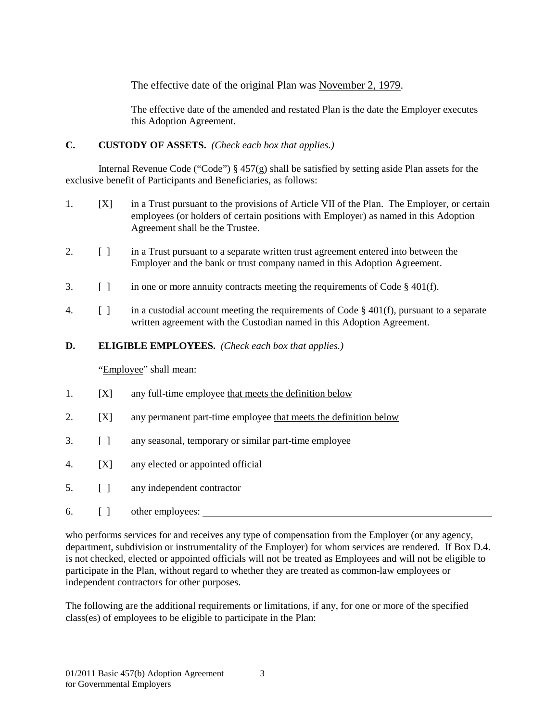The effective date of the original Plan was November 2, 1979.

The effective date of the amended and restated Plan is the date the Employer executes this Adoption Agreement.

## **C. CUSTODY OF ASSETS.** *(Check each box that applies.)*

Internal Revenue Code ("Code") § 457(g) shall be satisfied by setting aside Plan assets for the exclusive benefit of Participants and Beneficiaries, as follows:

- 1. [X] in a Trust pursuant to the provisions of Article VII of the Plan. The Employer, or certain employees (or holders of certain positions with Employer) as named in this Adoption Agreement shall be the Trustee.
- 2. [ ] in a Trust pursuant to a separate written trust agreement entered into between the Employer and the bank or trust company named in this Adoption Agreement.
- 3. [ ] in one or more annuity contracts meeting the requirements of Code § 401(f).
- 4. [ ] in a custodial account meeting the requirements of Code § 401(f), pursuant to a separate written agreement with the Custodian named in this Adoption Agreement.
- **D. ELIGIBLE EMPLOYEES.** *(Check each box that applies.)*

"Employee" shall mean:

- 1. [X] any full-time employee that meets the definition below
- 2. [X] any permanent part-time employee that meets the definition below
- 3. [ ] any seasonal, temporary or similar part-time employee
- 4. [X] any elected or appointed official
- 5. [ ] any independent contractor
- 6. [ ] other employees:

who performs services for and receives any type of compensation from the Employer (or any agency, department, subdivision or instrumentality of the Employer) for whom services are rendered. If Box D.4. is not checked, elected or appointed officials will not be treated as Employees and will not be eligible to participate in the Plan, without regard to whether they are treated as common-law employees or independent contractors for other purposes.

The following are the additional requirements or limitations, if any, for one or more of the specified class(es) of employees to be eligible to participate in the Plan: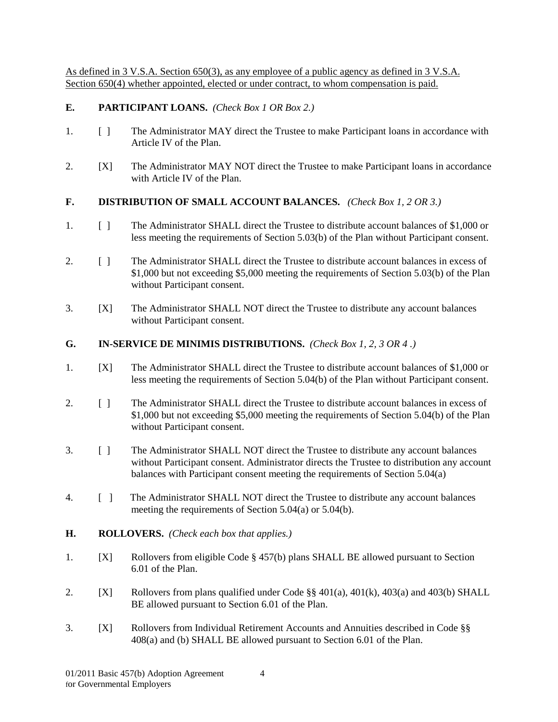As defined in 3 V.S.A. Section 650(3), as any employee of a public agency as defined in 3 V.S.A. Section 650(4) whether appointed, elected or under contract, to whom compensation is paid.

#### **E. PARTICIPANT LOANS.** *(Check Box 1 OR Box 2.)*

- 1. [ ] The Administrator MAY direct the Trustee to make Participant loans in accordance with Article IV of the Plan.
- 2. [X] The Administrator MAY NOT direct the Trustee to make Participant loans in accordance with Article IV of the Plan.

#### **F. DISTRIBUTION OF SMALL ACCOUNT BALANCES.** *(Check Box 1, 2 OR 3.)*

- 1. [ ] The Administrator SHALL direct the Trustee to distribute account balances of \$1,000 or less meeting the requirements of Section 5.03(b) of the Plan without Participant consent.
- 2. [ ] The Administrator SHALL direct the Trustee to distribute account balances in excess of \$1,000 but not exceeding \$5,000 meeting the requirements of Section 5.03(b) of the Plan without Participant consent.
- 3. [X] The Administrator SHALL NOT direct the Trustee to distribute any account balances without Participant consent.

#### **G. IN-SERVICE DE MINIMIS DISTRIBUTIONS.** *(Check Box 1, 2, 3 OR 4 .)*

- 1. [X] The Administrator SHALL direct the Trustee to distribute account balances of \$1,000 or less meeting the requirements of Section 5.04(b) of the Plan without Participant consent.
- 2. [ ] The Administrator SHALL direct the Trustee to distribute account balances in excess of \$1,000 but not exceeding \$5,000 meeting the requirements of Section 5.04(b) of the Plan without Participant consent.
- 3. [ ] The Administrator SHALL NOT direct the Trustee to distribute any account balances without Participant consent. Administrator directs the Trustee to distribution any account balances with Participant consent meeting the requirements of Section 5.04(a)
- 4. [ ] The Administrator SHALL NOT direct the Trustee to distribute any account balances meeting the requirements of Section 5.04(a) or 5.04(b).
- **H. ROLLOVERS.** *(Check each box that applies.)*
- 1. [X] Rollovers from eligible Code § 457(b) plans SHALL BE allowed pursuant to Section 6.01 of the Plan.
- 2. [X] Rollovers from plans qualified under Code §§ 401(a), 401(k), 403(a) and 403(b) SHALL BE allowed pursuant to Section 6.01 of the Plan.
- 3. [X] Rollovers from Individual Retirement Accounts and Annuities described in Code §§ 408(a) and (b) SHALL BE allowed pursuant to Section 6.01 of the Plan.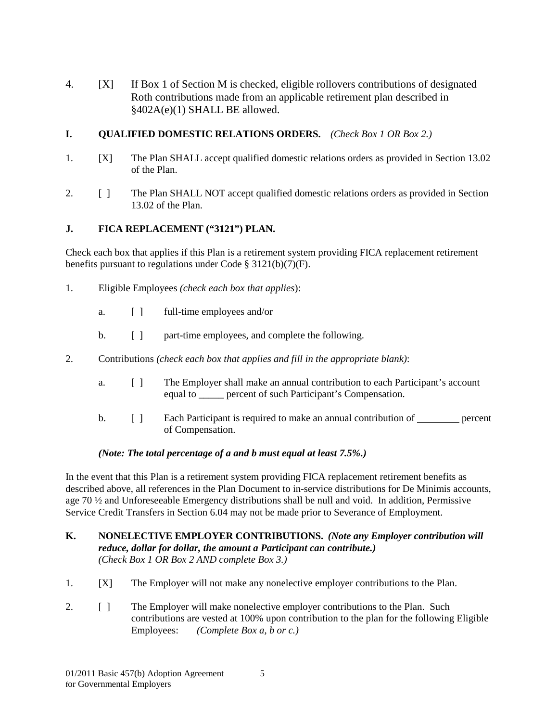4. [X] If Box 1 of Section M is checked, eligible rollovers contributions of designated Roth contributions made from an applicable retirement plan described in §402A(e)(1) SHALL BE allowed.

## **I. QUALIFIED DOMESTIC RELATIONS ORDERS.** *(Check Box 1 OR Box 2.)*

- 1. [X] The Plan SHALL accept qualified domestic relations orders as provided in Section 13.02 of the Plan.
- 2. [ ] The Plan SHALL NOT accept qualified domestic relations orders as provided in Section 13.02 of the Plan.

## **J. FICA REPLACEMENT ("3121") PLAN.**

Check each box that applies if this Plan is a retirement system providing FICA replacement retirement benefits pursuant to regulations under Code § 3121(b)(7)(F).

- 1. Eligible Employees *(check each box that applies*):
	- a. [ ] full-time employees and/or
	- b. [ ] part-time employees, and complete the following.
- 2. Contributions *(check each box that applies and fill in the appropriate blank)*:
	- a. [ ] The Employer shall make an annual contribution to each Participant's account equal to **percent of such Participant's Compensation.**
	- b. [ ] Each Participant is required to make an annual contribution of percent of Compensation.

#### *(Note: The total percentage of a and b must equal at least 7.5%.)*

In the event that this Plan is a retirement system providing FICA replacement retirement benefits as described above, all references in the Plan Document to in-service distributions for De Minimis accounts, age 70 ½ and Unforeseeable Emergency distributions shall be null and void. In addition, Permissive Service Credit Transfers in Section 6.04 may not be made prior to Severance of Employment.

#### **K. NONELECTIVE EMPLOYER CONTRIBUTIONS.** *(Note any Employer contribution will reduce, dollar for dollar, the amount a Participant can contribute.) (Check Box 1 OR Box 2 AND complete Box 3.)*

- 1. [X] The Employer will not make any nonelective employer contributions to the Plan.
- 2. [ ] The Employer will make nonelective employer contributions to the Plan. Such contributions are vested at 100% upon contribution to the plan for the following Eligible Employees: *(Complete Box a, b or c.)*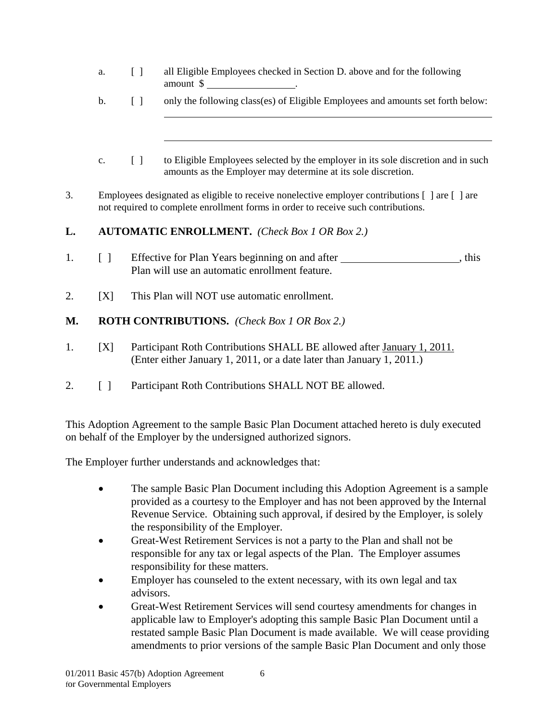- a. [ ] all Eligible Employees checked in Section D. above and for the following amount \$ .
- b. [ ] only the following class(es) of Eligible Employees and amounts set forth below:
- c. [ ] to Eligible Employees selected by the employer in its sole discretion and in such amounts as the Employer may determine at its sole discretion.
- 3. Employees designated as eligible to receive nonelective employer contributions [ ] are [ ] are not required to complete enrollment forms in order to receive such contributions.

## **L. AUTOMATIC ENROLLMENT.** *(Check Box 1 OR Box 2.)*

- 1. [ ] Effective for Plan Years beginning on and after *I* **Effective for Plan Years beginning on and after** , this Plan will use an automatic enrollment feature.
- 2. [X] This Plan will NOT use automatic enrollment.

# **M. ROTH CONTRIBUTIONS.** *(Check Box 1 OR Box 2.)*

- 1. [X] Participant Roth Contributions SHALL BE allowed after January 1, 2011. (Enter either January 1, 2011, or a date later than January 1, 2011.)
- 2. [ ] Participant Roth Contributions SHALL NOT BE allowed.

This Adoption Agreement to the sample Basic Plan Document attached hereto is duly executed on behalf of the Employer by the undersigned authorized signors.

The Employer further understands and acknowledges that:

- The sample Basic Plan Document including this Adoption Agreement is a sample provided as a courtesy to the Employer and has not been approved by the Internal Revenue Service. Obtaining such approval, if desired by the Employer, is solely the responsibility of the Employer.
- Great-West Retirement Services is not a party to the Plan and shall not be responsible for any tax or legal aspects of the Plan. The Employer assumes responsibility for these matters.
- Employer has counseled to the extent necessary, with its own legal and tax advisors.
- Great-West Retirement Services will send courtesy amendments for changes in applicable law to Employer's adopting this sample Basic Plan Document until a restated sample Basic Plan Document is made available. We will cease providing amendments to prior versions of the sample Basic Plan Document and only those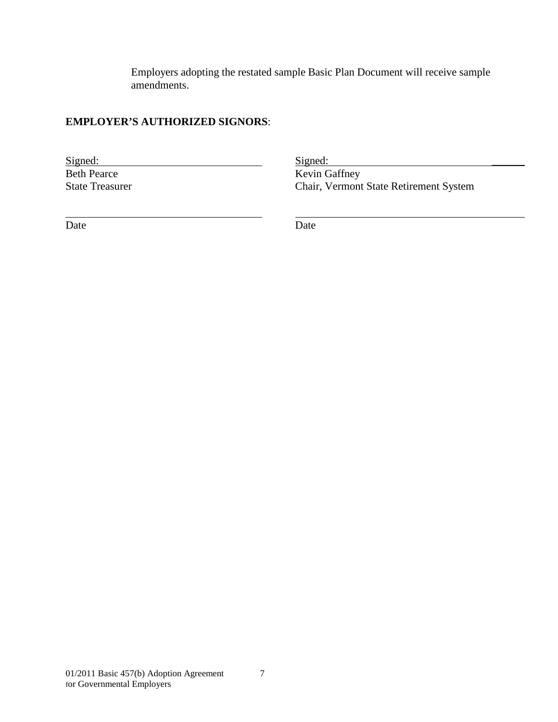Employers adopting the restated sample Basic Plan Document will receive sample amendments.

## **EMPLOYER'S AUTHORIZED SIGNORS**:

Signed: Signed: Signed: Signed: Signed: Signed: Signed: Signed: Signed: Signed: Signed: Signed: Signed: Signed: Signed: Signed: Signed: Signed: Signed: Signed: Signed: Signed: Signed: Signed: Signed: Signed: Signed: Signed Kevin Gaffney State Treasurer Chair, Vermont State Retirement System

Date Date Date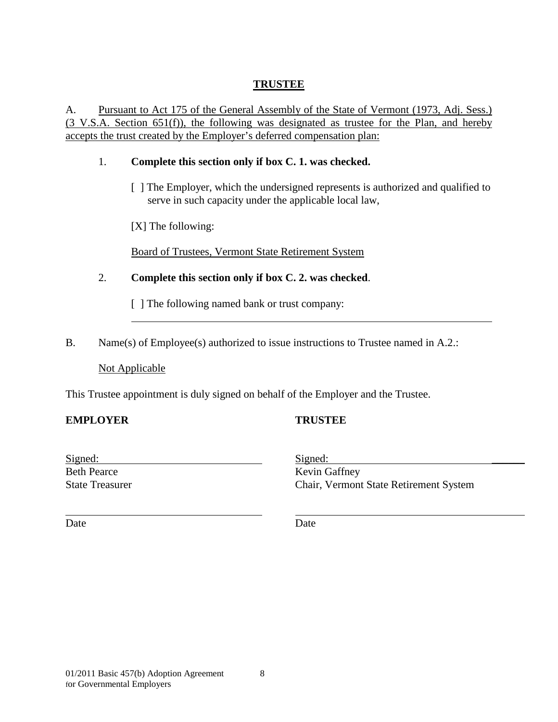# **TRUSTEE**

A. Pursuant to Act 175 of the General Assembly of the State of Vermont (1973, Adj. Sess.)  $(3 \text{ V.S.A. Section 651(f))}$ , the following was designated as trustee for the Plan, and hereby accepts the trust created by the Employer's deferred compensation plan:

## 1. **Complete this section only if box C. 1. was checked.**

[ ] The Employer, which the undersigned represents is authorized and qualified to serve in such capacity under the applicable local law,

[X] The following:

Board of Trustees, Vermont State Retirement System

2. **Complete this section only if box C. 2. was checked**.

[ ] The following named bank or trust company:

B. Name(s) of Employee(s) authorized to issue instructions to Trustee named in A.2.:

## Not Applicable

This Trustee appointment is duly signed on behalf of the Employer and the Trustee.

## **EMPLOYER TRUSTEE**

| Signed:                | Signed:                                       |
|------------------------|-----------------------------------------------|
| <b>Beth Pearce</b>     | Kevin Gaffney                                 |
| <b>State Treasurer</b> | <b>Chair, Vermont State Retirement System</b> |

Date Date Date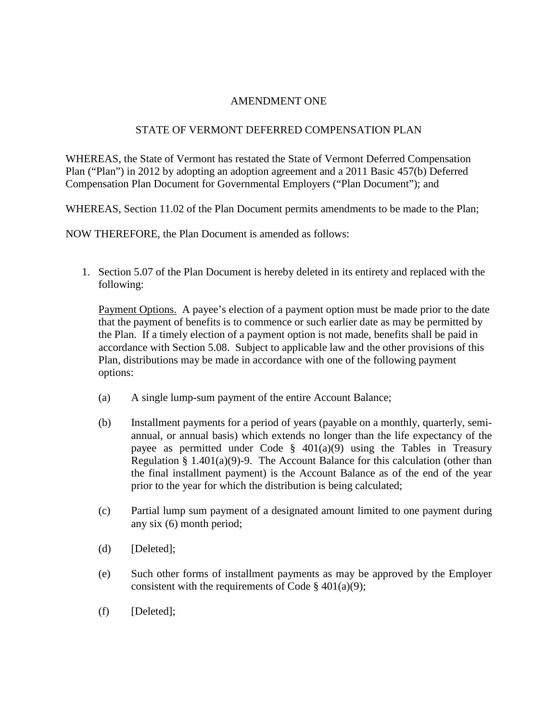#### AMENDMENT ONE

#### STATE OF VERMONT DEFERRED COMPENSATION PLAN

WHEREAS, the State of Vermont has restated the State of Vermont Deferred Compensation Plan ("Plan") in 2012 by adopting an adoption agreement and a 2011 Basic 457(b) Deferred Compensation Plan Document for Governmental Employers ("Plan Document"); and

WHEREAS, Section 11.02 of the Plan Document permits amendments to be made to the Plan;

NOW THEREFORE, the Plan Document is amended as follows:

1. Section 5.07 of the Plan Document is hereby deleted in its entirety and replaced with the following:

Payment Options. A payee's election of a payment option must be made prior to the date that the payment of benefits is to commence or such earlier date as may be permitted by the Plan. If a timely election of a payment option is not made, benefits shall be paid in accordance with Section 5.08. Subject to applicable law and the other provisions of this Plan, distributions may be made in accordance with one of the following payment options:

- (a) A single lump-sum payment of the entire Account Balance;
- (b) Installment payments for a period of years (payable on a monthly, quarterly, semiannual, or annual basis) which extends no longer than the life expectancy of the payee as permitted under Code  $\S$  401(a)(9) using the Tables in Treasury Regulation § 1.401(a)(9)-9. The Account Balance for this calculation (other than the final installment payment) is the Account Balance as of the end of the year prior to the year for which the distribution is being calculated;
- (c) Partial lump sum payment of a designated amount limited to one payment during any six (6) month period;
- (d) [Deleted];
- (e) Such other forms of installment payments as may be approved by the Employer consistent with the requirements of Code  $\S$  401(a)(9);
- (f) [Deleted];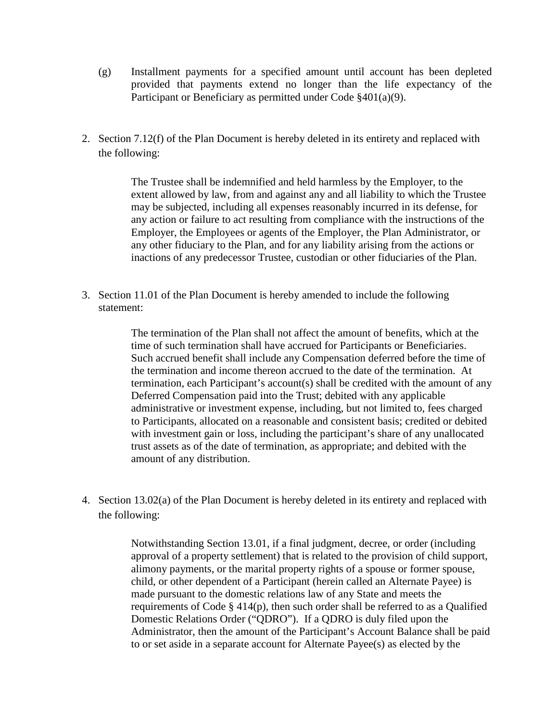- (g) Installment payments for a specified amount until account has been depleted provided that payments extend no longer than the life expectancy of the Participant or Beneficiary as permitted under Code §401(a)(9).
- 2. Section 7.12(f) of the Plan Document is hereby deleted in its entirety and replaced with the following:

The Trustee shall be indemnified and held harmless by the Employer, to the extent allowed by law, from and against any and all liability to which the Trustee may be subjected, including all expenses reasonably incurred in its defense, for any action or failure to act resulting from compliance with the instructions of the Employer, the Employees or agents of the Employer, the Plan Administrator, or any other fiduciary to the Plan, and for any liability arising from the actions or inactions of any predecessor Trustee, custodian or other fiduciaries of the Plan.

3. Section 11.01 of the Plan Document is hereby amended to include the following statement:

> The termination of the Plan shall not affect the amount of benefits, which at the time of such termination shall have accrued for Participants or Beneficiaries. Such accrued benefit shall include any Compensation deferred before the time of the termination and income thereon accrued to the date of the termination. At termination, each Participant's account(s) shall be credited with the amount of any Deferred Compensation paid into the Trust; debited with any applicable administrative or investment expense, including, but not limited to, fees charged to Participants, allocated on a reasonable and consistent basis; credited or debited with investment gain or loss, including the participant's share of any unallocated trust assets as of the date of termination, as appropriate; and debited with the amount of any distribution.

4. Section 13.02(a) of the Plan Document is hereby deleted in its entirety and replaced with the following:

> Notwithstanding Section 13.01, if a final judgment, decree, or order (including approval of a property settlement) that is related to the provision of child support, alimony payments, or the marital property rights of a spouse or former spouse, child, or other dependent of a Participant (herein called an Alternate Payee) is made pursuant to the domestic relations law of any State and meets the requirements of Code § 414(p), then such order shall be referred to as a Qualified Domestic Relations Order ("QDRO"). If a QDRO is duly filed upon the Administrator, then the amount of the Participant's Account Balance shall be paid to or set aside in a separate account for Alternate Payee(s) as elected by the